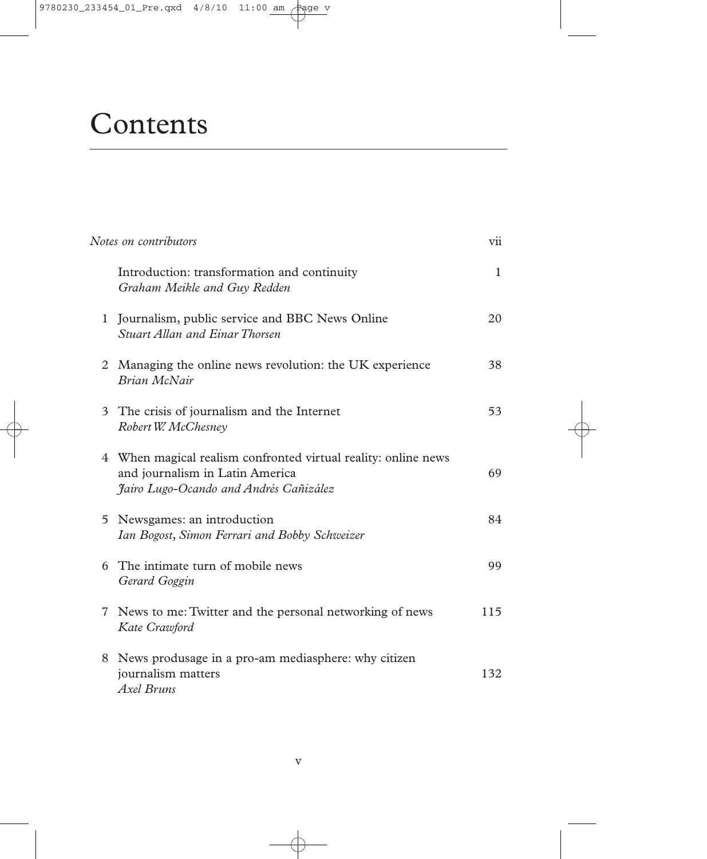# Contents

| Notes on contributors |                                                                                                                                             | vii |
|-----------------------|---------------------------------------------------------------------------------------------------------------------------------------------|-----|
|                       | Introduction: transformation and continuity<br>Graham Meikle and Guy Redden                                                                 | 1   |
| $\mathbf{1}$          | Journalism, public service and BBC News Online<br>Stuart Allan and Einar Thorsen                                                            | 20  |
| 2                     | Managing the online news revolution: the UK experience<br>Brian McNair                                                                      | 38  |
|                       | 3 The crisis of journalism and the Internet<br>Robert W. McChesney                                                                          | 53  |
|                       | 4 When magical realism confronted virtual reality: online news<br>and journalism in Latin America<br>Jairo Lugo-Ocando and Andrés Cañizález | 69  |
| 5                     | Newsgames: an introduction<br>Ian Bogost, Simon Ferrari and Bobby Schweizer                                                                 | 84  |
| 6                     | The intimate turn of mobile news<br>Gerard Goggin                                                                                           | 99  |
|                       | 7 News to me: Twitter and the personal networking of news<br>Kate Crawford                                                                  | 115 |
| 8                     | News produsage in a pro-am mediasphere: why citizen<br>journalism matters<br>Axel Bruns                                                     | 132 |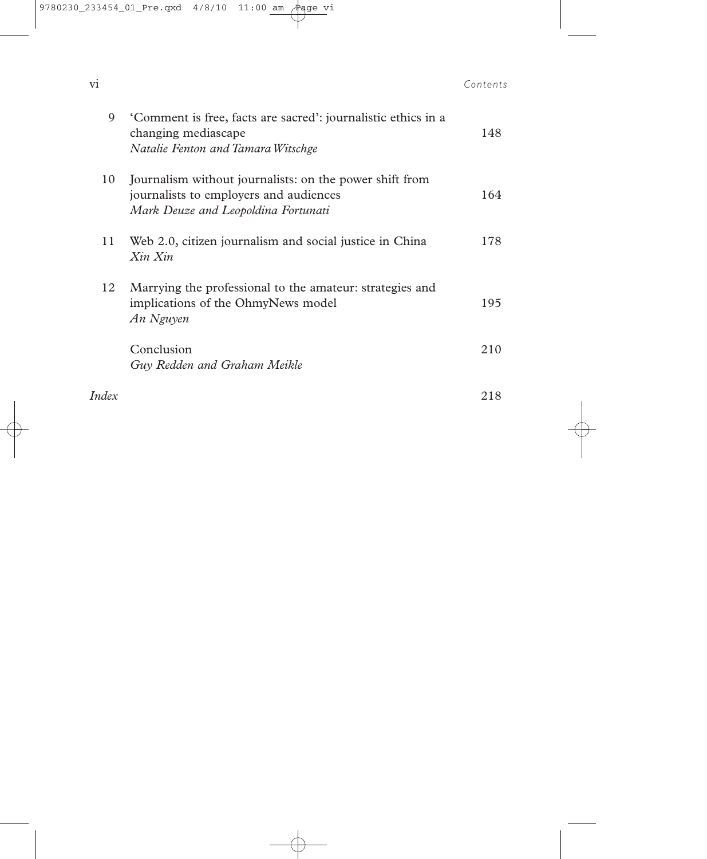$\overline{\mathbb{C}}$ 

| vi    |                                                                                                                                          | Contents |
|-------|------------------------------------------------------------------------------------------------------------------------------------------|----------|
| 9     | 'Comment is free, facts are sacred': journalistic ethics in a<br>changing mediascape<br>Natalie Fenton and Tamara Witschge               | 148      |
| 10    | Journalism without journalists: on the power shift from<br>journalists to employers and audiences<br>Mark Deuze and Leopoldina Fortunati | 164      |
| 11    | Web 2.0, citizen journalism and social justice in China<br>Xin Xin                                                                       | 178      |
| 12    | Marrying the professional to the amateur: strategies and<br>implications of the OhmyNews model<br>An Nguyen                              | 195      |
|       | Conclusion<br>Guy Redden and Graham Meikle                                                                                               | 210      |
| Index |                                                                                                                                          | 218      |

 $\overline{\mathbb{C}}$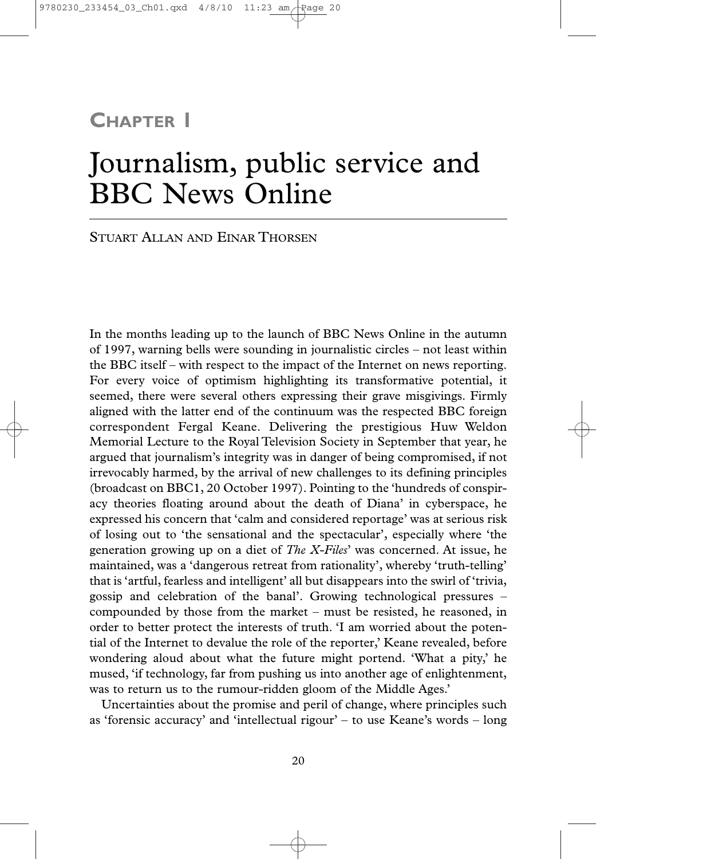# **CHAPTER 1**

# Journalism, public service and BBC News Online

STUART ALLAN AND EINAR THORSEN

In the months leading up to the launch of BBC News Online in the autumn of 1997, warning bells were sounding in journalistic circles – not least within the BBC itself – with respect to the impact of the Internet on news reporting. For every voice of optimism highlighting its transformative potential, it seemed, there were several others expressing their grave misgivings. Firmly aligned with the latter end of the continuum was the respected BBC foreign correspondent Fergal Keane. Delivering the prestigious Huw Weldon Memorial Lecture to the Royal Television Society in September that year, he argued that journalism's integrity was in danger of being compromised, if not irrevocably harmed, by the arrival of new challenges to its defining principles (broadcast on BBC1, 20 October 1997). Pointing to the 'hundreds of conspiracy theories floating around about the death of Diana' in cyberspace, he expressed his concern that 'calm and considered reportage' was at serious risk of losing out to 'the sensational and the spectacular', especially where 'the generation growing up on a diet of *The X-Files*' was concerned. At issue, he maintained, was a 'dangerous retreat from rationality', whereby 'truth-telling' that is 'artful, fearless and intelligent' all but disappears into the swirl of 'trivia, gossip and celebration of the banal'. Growing technological pressures – compounded by those from the market – must be resisted, he reasoned, in order to better protect the interests of truth. 'I am worried about the potential of the Internet to devalue the role of the reporter,' Keane revealed, before wondering aloud about what the future might portend. 'What a pity,' he mused, 'if technology, far from pushing us into another age of enlightenment, was to return us to the rumour-ridden gloom of the Middle Ages.'

Uncertainties about the promise and peril of change, where principles such as 'forensic accuracy' and 'intellectual rigour' – to use Keane's words – long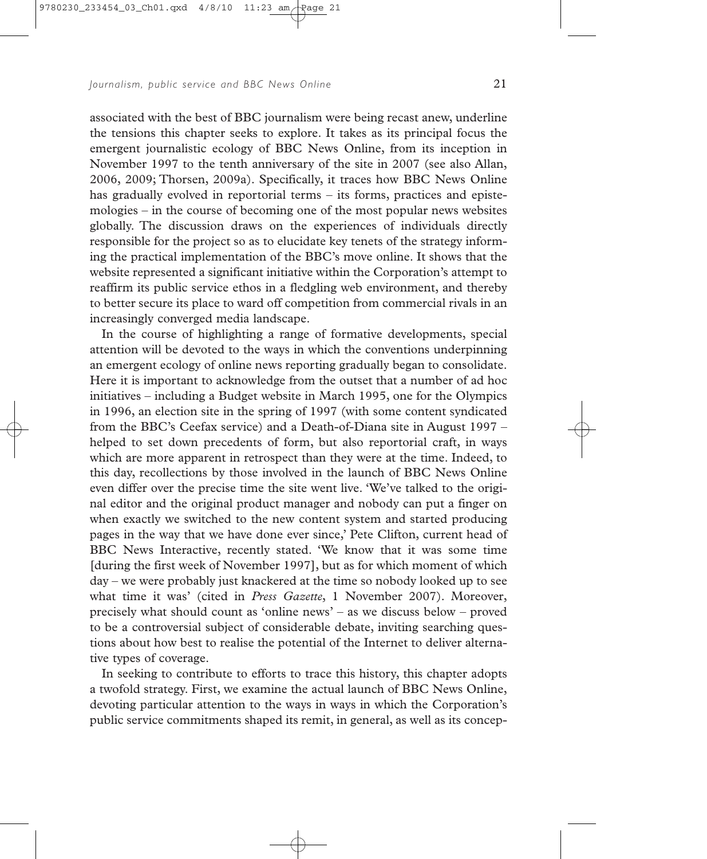associated with the best of BBC journalism were being recast anew, underline the tensions this chapter seeks to explore. It takes as its principal focus the emergent journalistic ecology of BBC News Online, from its inception in November 1997 to the tenth anniversary of the site in 2007 (see also Allan, 2006, 2009; Thorsen, 2009a). Specifically, it traces how BBC News Online has gradually evolved in reportorial terms – its forms, practices and epistemologies – in the course of becoming one of the most popular news websites globally. The discussion draws on the experiences of individuals directly responsible for the project so as to elucidate key tenets of the strategy informing the practical implementation of the BBC's move online. It shows that the website represented a significant initiative within the Corporation's attempt to reaffirm its public service ethos in a fledgling web environment, and thereby to better secure its place to ward off competition from commercial rivals in an increasingly converged media landscape.

In the course of highlighting a range of formative developments, special attention will be devoted to the ways in which the conventions underpinning an emergent ecology of online news reporting gradually began to consolidate. Here it is important to acknowledge from the outset that a number of ad hoc initiatives – including a Budget website in March 1995, one for the Olympics in 1996, an election site in the spring of 1997 (with some content syndicated from the BBC's Ceefax service) and a Death-of-Diana site in August 1997 – helped to set down precedents of form, but also reportorial craft, in ways which are more apparent in retrospect than they were at the time. Indeed, to this day, recollections by those involved in the launch of BBC News Online even differ over the precise time the site went live. 'We've talked to the original editor and the original product manager and nobody can put a finger on when exactly we switched to the new content system and started producing pages in the way that we have done ever since,' Pete Clifton, current head of BBC News Interactive, recently stated. 'We know that it was some time [during the first week of November 1997], but as for which moment of which day – we were probably just knackered at the time so nobody looked up to see what time it was' (cited in *Press Gazette*, 1 November 2007). Moreover, precisely what should count as 'online news' – as we discuss below – proved to be a controversial subject of considerable debate, inviting searching questions about how best to realise the potential of the Internet to deliver alternative types of coverage.

In seeking to contribute to efforts to trace this history, this chapter adopts a twofold strategy. First, we examine the actual launch of BBC News Online, devoting particular attention to the ways in ways in which the Corporation's public service commitments shaped its remit, in general, as well as its concep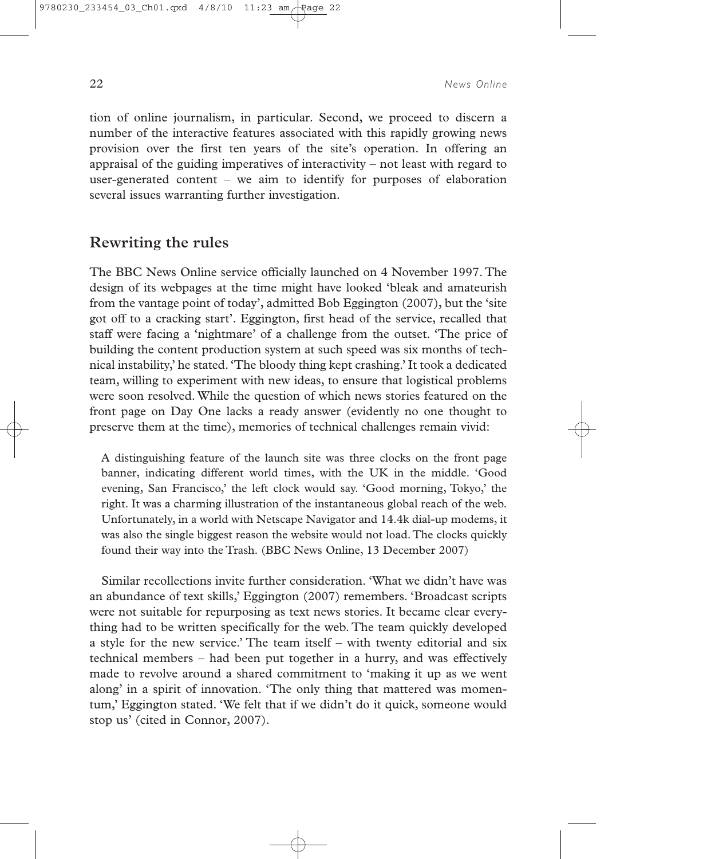tion of online journalism, in particular. Second, we proceed to discern a number of the interactive features associated with this rapidly growing news provision over the first ten years of the site's operation. In offering an appraisal of the guiding imperatives of interactivity – not least with regard to user-generated content – we aim to identify for purposes of elaboration several issues warranting further investigation.

# **Rewriting the rules**

9780230\_233454\_03\_Ch01.qxd 4/8/10 11:23 am/ Page

The BBC News Online service officially launched on 4 November 1997. The design of its webpages at the time might have looked 'bleak and amateurish from the vantage point of today', admitted Bob Eggington (2007), but the 'site got off to a cracking start'. Eggington, first head of the service, recalled that staff were facing a 'nightmare' of a challenge from the outset. 'The price of building the content production system at such speed was six months of technical instability,' he stated. 'The bloody thing kept crashing.' It took a dedicated team, willing to experiment with new ideas, to ensure that logistical problems were soon resolved. While the question of which news stories featured on the front page on Day One lacks a ready answer (evidently no one thought to preserve them at the time), memories of technical challenges remain vivid:

A distinguishing feature of the launch site was three clocks on the front page banner, indicating different world times, with the UK in the middle. 'Good evening, San Francisco,' the left clock would say. 'Good morning, Tokyo,' the right. It was a charming illustration of the instantaneous global reach of the web. Unfortunately, in a world with Netscape Navigator and 14.4k dial-up modems, it was also the single biggest reason the website would not load.The clocks quickly found their way into the Trash. (BBC News Online, 13 December 2007)

Similar recollections invite further consideration. 'What we didn't have was an abundance of text skills,' Eggington (2007) remembers. 'Broadcast scripts were not suitable for repurposing as text news stories. It became clear everything had to be written specifically for the web. The team quickly developed a style for the new service.' The team itself – with twenty editorial and six technical members – had been put together in a hurry, and was effectively made to revolve around a shared commitment to 'making it up as we went along' in a spirit of innovation. 'The only thing that mattered was momentum,' Eggington stated. 'We felt that if we didn't do it quick, someone would stop us' (cited in Connor, 2007).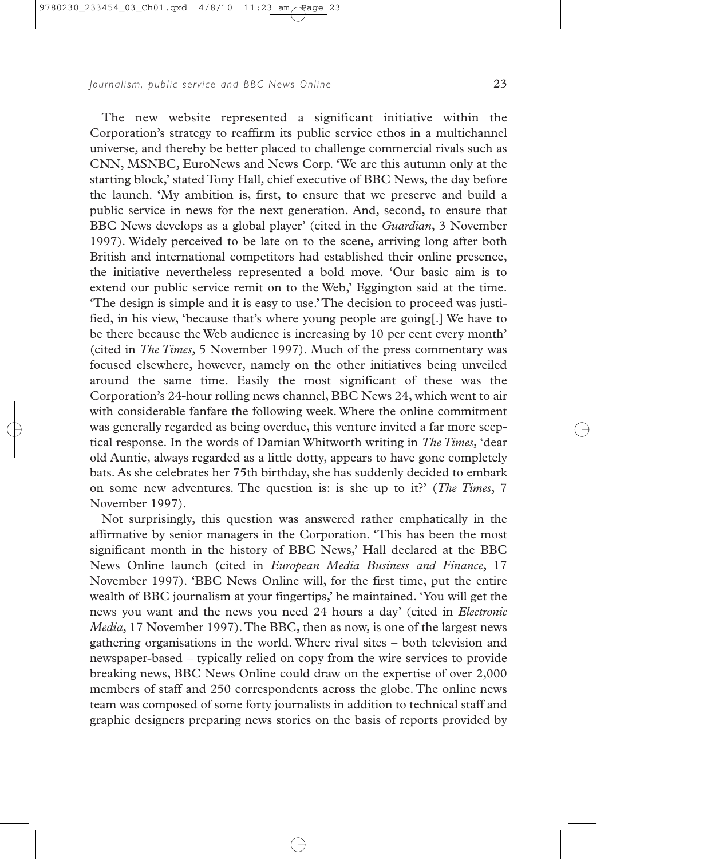The new website represented a significant initiative within the Corporation's strategy to reaffirm its public service ethos in a multichannel universe, and thereby be better placed to challenge commercial rivals such as CNN, MSNBC, EuroNews and News Corp. 'We are this autumn only at the starting block,' stated Tony Hall, chief executive of BBC News, the day before the launch. 'My ambition is, first, to ensure that we preserve and build a public service in news for the next generation. And, second, to ensure that BBC News develops as a global player' (cited in the *Guardian*, 3 November 1997). Widely perceived to be late on to the scene, arriving long after both British and international competitors had established their online presence, the initiative nevertheless represented a bold move. 'Our basic aim is to extend our public service remit on to the Web,' Eggington said at the time. 'The design is simple and it is easy to use.'The decision to proceed was justified, in his view, 'because that's where young people are going[.] We have to be there because the Web audience is increasing by 10 per cent every month' (cited in *The Times*, 5 November 1997). Much of the press commentary was focused elsewhere, however, namely on the other initiatives being unveiled around the same time. Easily the most significant of these was the Corporation's 24-hour rolling news channel, BBC News 24, which went to air with considerable fanfare the following week. Where the online commitment was generally regarded as being overdue, this venture invited a far more sceptical response. In the words of Damian Whitworth writing in *The Times*, 'dear old Auntie, always regarded as a little dotty, appears to have gone completely bats. As she celebrates her 75th birthday, she has suddenly decided to embark on some new adventures. The question is: is she up to it?' (*The Times*, 7 November 1997).

Not surprisingly, this question was answered rather emphatically in the affirmative by senior managers in the Corporation. 'This has been the most significant month in the history of BBC News,' Hall declared at the BBC News Online launch (cited in *European Media Business and Finance*, 17 November 1997). 'BBC News Online will, for the first time, put the entire wealth of BBC journalism at your fingertips,' he maintained. 'You will get the news you want and the news you need 24 hours a day' (cited in *Electronic Media*, 17 November 1997).The BBC, then as now, is one of the largest news gathering organisations in the world. Where rival sites – both television and newspaper-based – typically relied on copy from the wire services to provide breaking news, BBC News Online could draw on the expertise of over 2,000 members of staff and 250 correspondents across the globe. The online news team was composed of some forty journalists in addition to technical staff and graphic designers preparing news stories on the basis of reports provided by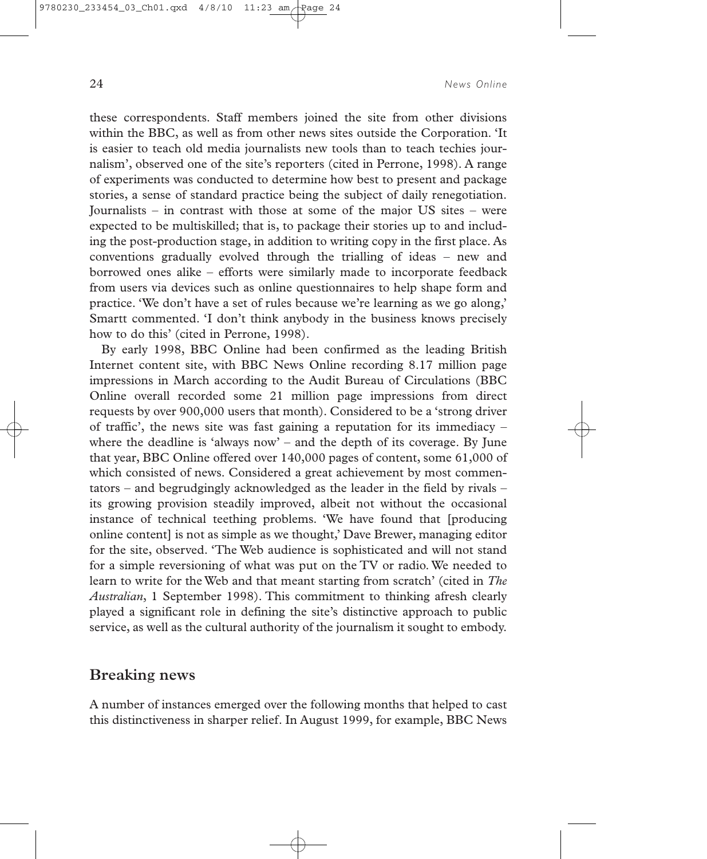24 *News Online*

these correspondents. Staff members joined the site from other divisions within the BBC, as well as from other news sites outside the Corporation. 'It is easier to teach old media journalists new tools than to teach techies journalism', observed one of the site's reporters (cited in Perrone, 1998). A range of experiments was conducted to determine how best to present and package stories, a sense of standard practice being the subject of daily renegotiation. Journalists – in contrast with those at some of the major US sites – were expected to be multiskilled; that is, to package their stories up to and including the post-production stage, in addition to writing copy in the first place. As conventions gradually evolved through the trialling of ideas – new and borrowed ones alike – efforts were similarly made to incorporate feedback from users via devices such as online questionnaires to help shape form and practice. 'We don't have a set of rules because we're learning as we go along,' Smartt commented. 'I don't think anybody in the business knows precisely how to do this' (cited in Perrone, 1998).

By early 1998, BBC Online had been confirmed as the leading British Internet content site, with BBC News Online recording 8.17 million page impressions in March according to the Audit Bureau of Circulations (BBC Online overall recorded some 21 million page impressions from direct requests by over 900,000 users that month). Considered to be a 'strong driver of traffic', the news site was fast gaining a reputation for its immediacy – where the deadline is 'always now' – and the depth of its coverage. By June that year, BBC Online offered over 140,000 pages of content, some 61,000 of which consisted of news. Considered a great achievement by most commentators – and begrudgingly acknowledged as the leader in the field by rivals – its growing provision steadily improved, albeit not without the occasional instance of technical teething problems. 'We have found that [producing online content] is not as simple as we thought,' Dave Brewer, managing editor for the site, observed. 'The Web audience is sophisticated and will not stand for a simple reversioning of what was put on the TV or radio. We needed to learn to write for the Web and that meant starting from scratch' (cited in *The Australian*, 1 September 1998). This commitment to thinking afresh clearly played a significant role in defining the site's distinctive approach to public service, as well as the cultural authority of the journalism it sought to embody.

## **Breaking news**

A number of instances emerged over the following months that helped to cast this distinctiveness in sharper relief. In August 1999, for example, BBC News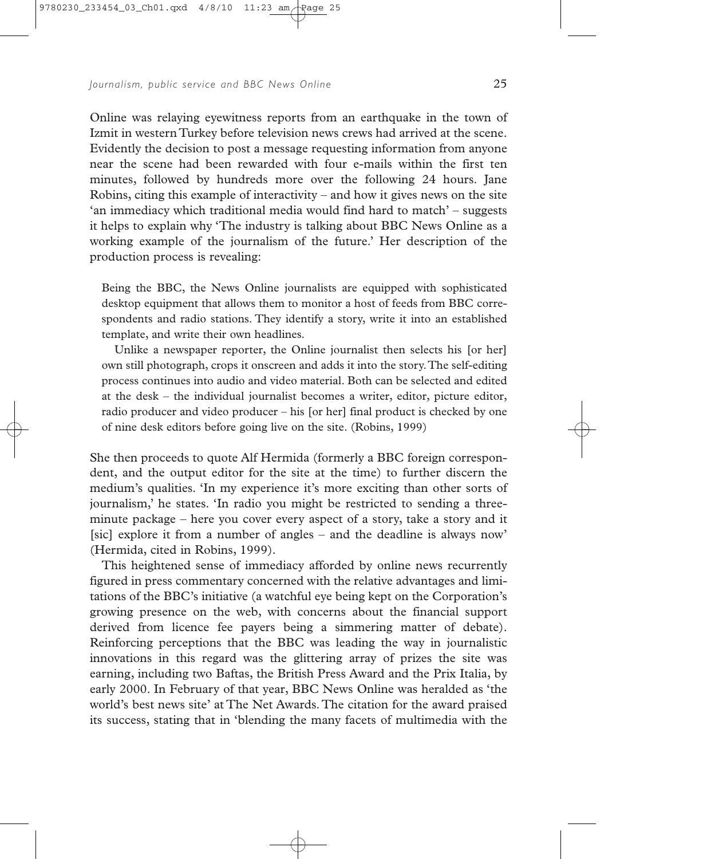Online was relaying eyewitness reports from an earthquake in the town of Izmit in western Turkey before television news crews had arrived at the scene. Evidently the decision to post a message requesting information from anyone near the scene had been rewarded with four e-mails within the first ten minutes, followed by hundreds more over the following 24 hours. Jane Robins, citing this example of interactivity – and how it gives news on the site 'an immediacy which traditional media would find hard to match' – suggests it helps to explain why 'The industry is talking about BBC News Online as a working example of the journalism of the future.' Her description of the production process is revealing:

Being the BBC, the News Online journalists are equipped with sophisticated desktop equipment that allows them to monitor a host of feeds from BBC correspondents and radio stations. They identify a story, write it into an established template, and write their own headlines.

Unlike a newspaper reporter, the Online journalist then selects his [or her] own still photograph, crops it onscreen and adds it into the story.The self-editing process continues into audio and video material. Both can be selected and edited at the desk – the individual journalist becomes a writer, editor, picture editor, radio producer and video producer – his [or her] final product is checked by one of nine desk editors before going live on the site. (Robins, 1999)

She then proceeds to quote Alf Hermida (formerly a BBC foreign correspondent, and the output editor for the site at the time) to further discern the medium's qualities. 'In my experience it's more exciting than other sorts of journalism,' he states. 'In radio you might be restricted to sending a threeminute package – here you cover every aspect of a story, take a story and it [sic] explore it from a number of angles – and the deadline is always now' (Hermida, cited in Robins, 1999).

This heightened sense of immediacy afforded by online news recurrently figured in press commentary concerned with the relative advantages and limitations of the BBC's initiative (a watchful eye being kept on the Corporation's growing presence on the web, with concerns about the financial support derived from licence fee payers being a simmering matter of debate). Reinforcing perceptions that the BBC was leading the way in journalistic innovations in this regard was the glittering array of prizes the site was earning, including two Baftas, the British Press Award and the Prix Italia, by early 2000. In February of that year, BBC News Online was heralded as 'the world's best news site' at The Net Awards. The citation for the award praised its success, stating that in 'blending the many facets of multimedia with the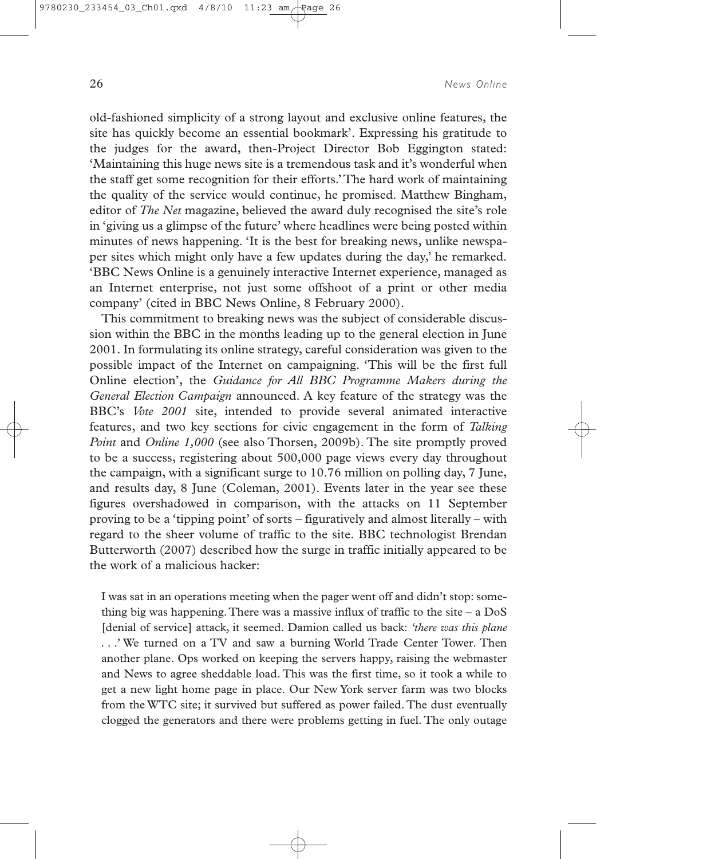26 *News Online*

old-fashioned simplicity of a strong layout and exclusive online features, the site has quickly become an essential bookmark'. Expressing his gratitude to the judges for the award, then-Project Director Bob Eggington stated: 'Maintaining this huge news site is a tremendous task and it's wonderful when the staff get some recognition for their efforts.'The hard work of maintaining the quality of the service would continue, he promised. Matthew Bingham, editor of *The Net* magazine, believed the award duly recognised the site's role in 'giving us a glimpse of the future' where headlines were being posted within minutes of news happening. 'It is the best for breaking news, unlike newspaper sites which might only have a few updates during the day,' he remarked. 'BBC News Online is a genuinely interactive Internet experience, managed as an Internet enterprise, not just some offshoot of a print or other media company' (cited in BBC News Online, 8 February 2000).

This commitment to breaking news was the subject of considerable discussion within the BBC in the months leading up to the general election in June 2001. In formulating its online strategy, careful consideration was given to the possible impact of the Internet on campaigning. 'This will be the first full Online election', the *Guidance for All BBC Programme Makers during the General Election Campaign* announced. A key feature of the strategy was the BBC's *Vote 2001* site, intended to provide several animated interactive features, and two key sections for civic engagement in the form of *Talking Point* and *Online 1,000* (see also Thorsen, 2009b). The site promptly proved to be a success, registering about 500,000 page views every day throughout the campaign, with a significant surge to 10.76 million on polling day, 7 June, and results day, 8 June (Coleman, 2001). Events later in the year see these figures overshadowed in comparison, with the attacks on 11 September proving to be a 'tipping point' of sorts – figuratively and almost literally – with regard to the sheer volume of traffic to the site. BBC technologist Brendan Butterworth (2007) described how the surge in traffic initially appeared to be the work of a malicious hacker:

I was sat in an operations meeting when the pager went off and didn't stop: something big was happening. There was a massive influx of traffic to the site – a  $DoS$ [denial of service] attack, it seemed. Damion called us back: *'there was this plane . . .'* We turned on a TV and saw a burning World Trade Center Tower. Then another plane. Ops worked on keeping the servers happy, raising the webmaster and News to agree sheddable load. This was the first time, so it took a while to get a new light home page in place. Our New York server farm was two blocks from the WTC site; it survived but suffered as power failed. The dust eventually clogged the generators and there were problems getting in fuel. The only outage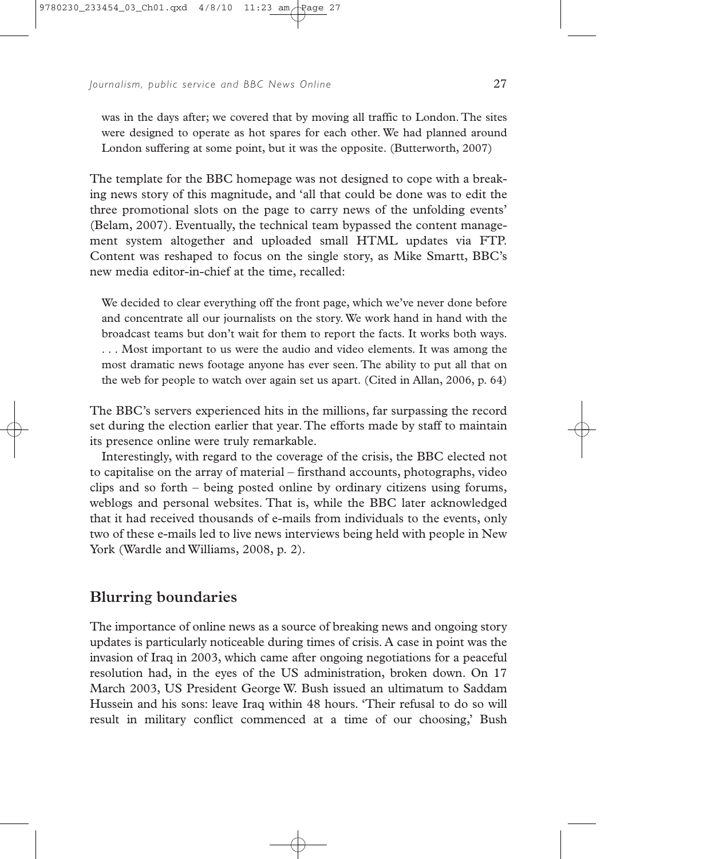was in the days after; we covered that by moving all traffic to London. The sites were designed to operate as hot spares for each other. We had planned around London suffering at some point, but it was the opposite. (Butterworth, 2007)

The template for the BBC homepage was not designed to cope with a breaking news story of this magnitude, and 'all that could be done was to edit the three promotional slots on the page to carry news of the unfolding events' (Belam, 2007). Eventually, the technical team bypassed the content management system altogether and uploaded small HTML updates via FTP. Content was reshaped to focus on the single story, as Mike Smartt, BBC's new media editor-in-chief at the time, recalled:

We decided to clear everything off the front page, which we've never done before and concentrate all our journalists on the story. We work hand in hand with the broadcast teams but don't wait for them to report the facts. It works both ways. . . . Most important to us were the audio and video elements. It was among the most dramatic news footage anyone has ever seen. The ability to put all that on the web for people to watch over again set us apart. (Cited in Allan, 2006, p. 64)

The BBC's servers experienced hits in the millions, far surpassing the record set during the election earlier that year.The efforts made by staff to maintain its presence online were truly remarkable.

Interestingly, with regard to the coverage of the crisis, the BBC elected not to capitalise on the array of material – firsthand accounts, photographs, video clips and so forth – being posted online by ordinary citizens using forums, weblogs and personal websites. That is, while the BBC later acknowledged that it had received thousands of e-mails from individuals to the events, only two of these e-mails led to live news interviews being held with people in New York (Wardle and Williams, 2008, p. 2).

## **Blurring boundaries**

The importance of online news as a source of breaking news and ongoing story updates is particularly noticeable during times of crisis. A case in point was the invasion of Iraq in 2003, which came after ongoing negotiations for a peaceful resolution had, in the eyes of the US administration, broken down. On 17 March 2003, US President George W. Bush issued an ultimatum to Saddam Hussein and his sons: leave Iraq within 48 hours. 'Their refusal to do so will result in military conflict commenced at a time of our choosing,' Bush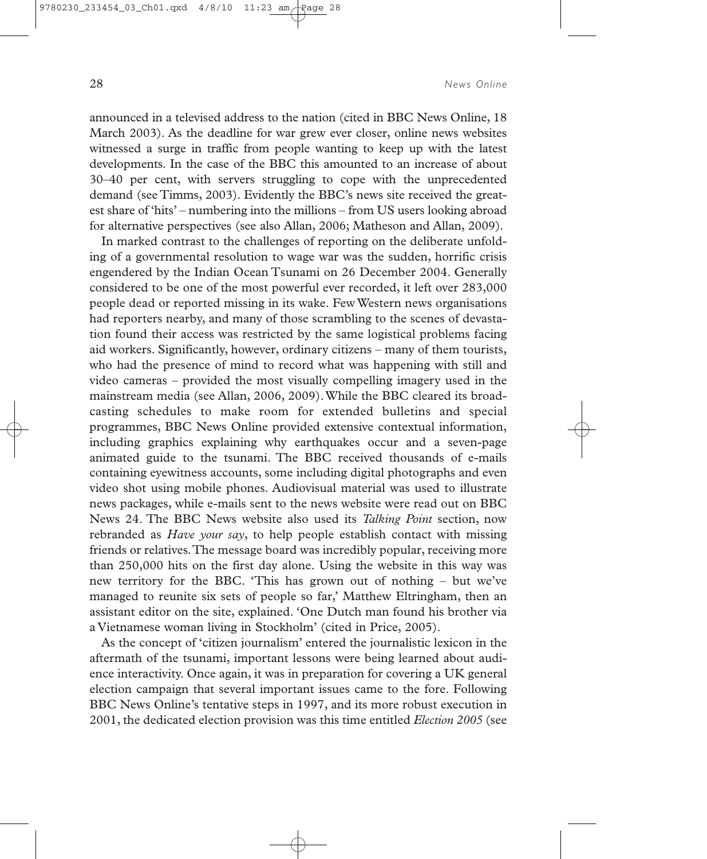announced in a televised address to the nation (cited in BBC News Online, 18 March 2003). As the deadline for war grew ever closer, online news websites witnessed a surge in traffic from people wanting to keep up with the latest developments. In the case of the BBC this amounted to an increase of about 30–40 per cent, with servers struggling to cope with the unprecedented demand (see Timms, 2003). Evidently the BBC's news site received the greatest share of 'hits' – numbering into the millions – from US users looking abroad for alternative perspectives (see also Allan, 2006; Matheson and Allan, 2009).

In marked contrast to the challenges of reporting on the deliberate unfolding of a governmental resolution to wage war was the sudden, horrific crisis engendered by the Indian Ocean Tsunami on 26 December 2004. Generally considered to be one of the most powerful ever recorded, it left over 283,000 people dead or reported missing in its wake. Few Western news organisations had reporters nearby, and many of those scrambling to the scenes of devastation found their access was restricted by the same logistical problems facing aid workers. Significantly, however, ordinary citizens – many of them tourists, who had the presence of mind to record what was happening with still and video cameras – provided the most visually compelling imagery used in the mainstream media (see Allan, 2006, 2009).While the BBC cleared its broadcasting schedules to make room for extended bulletins and special programmes, BBC News Online provided extensive contextual information, including graphics explaining why earthquakes occur and a seven-page animated guide to the tsunami. The BBC received thousands of e-mails containing eyewitness accounts, some including digital photographs and even video shot using mobile phones. Audiovisual material was used to illustrate news packages, while e-mails sent to the news website were read out on BBC News 24. The BBC News website also used its *Talking Point* section, now rebranded as *Have your say*, to help people establish contact with missing friends or relatives.The message board was incredibly popular, receiving more than 250,000 hits on the first day alone. Using the website in this way was new territory for the BBC. 'This has grown out of nothing – but we've managed to reunite six sets of people so far,' Matthew Eltringham, then an assistant editor on the site, explained. 'One Dutch man found his brother via a Vietnamese woman living in Stockholm' (cited in Price, 2005).

As the concept of 'citizen journalism' entered the journalistic lexicon in the aftermath of the tsunami, important lessons were being learned about audience interactivity. Once again, it was in preparation for covering a UK general election campaign that several important issues came to the fore. Following BBC News Online's tentative steps in 1997, and its more robust execution in 2001, the dedicated election provision was this time entitled *Election 2005* (see

 $9780230\_233454\_03\_Ch01.qxd$   $4/8/10$   $11:23$  am Rage 28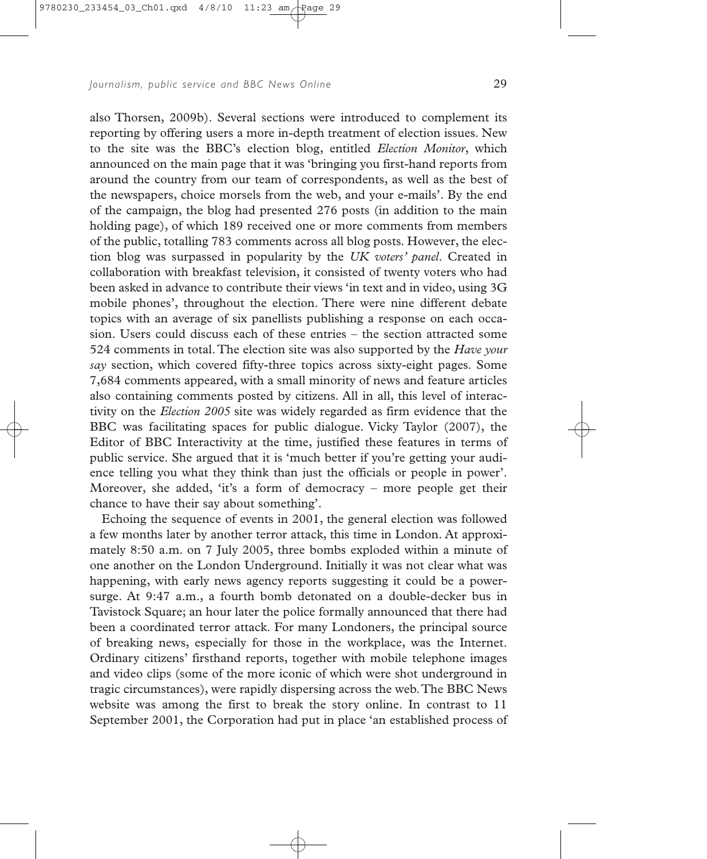also Thorsen, 2009b). Several sections were introduced to complement its reporting by offering users a more in-depth treatment of election issues. New to the site was the BBC's election blog, entitled *Election Monitor*, which announced on the main page that it was 'bringing you first-hand reports from around the country from our team of correspondents, as well as the best of the newspapers, choice morsels from the web, and your e-mails'. By the end of the campaign, the blog had presented 276 posts (in addition to the main holding page), of which 189 received one or more comments from members of the public, totalling 783 comments across all blog posts. However, the election blog was surpassed in popularity by the *UK voters' panel*. Created in collaboration with breakfast television, it consisted of twenty voters who had been asked in advance to contribute their views 'in text and in video, using 3G mobile phones', throughout the election. There were nine different debate topics with an average of six panellists publishing a response on each occasion. Users could discuss each of these entries – the section attracted some 524 comments in total.The election site was also supported by the *Have your say* section, which covered fifty-three topics across sixty-eight pages. Some 7,684 comments appeared, with a small minority of news and feature articles also containing comments posted by citizens. All in all, this level of interactivity on the *Election 2005* site was widely regarded as firm evidence that the BBC was facilitating spaces for public dialogue. Vicky Taylor (2007), the Editor of BBC Interactivity at the time, justified these features in terms of public service. She argued that it is 'much better if you're getting your audience telling you what they think than just the officials or people in power'. Moreover, she added, 'it's a form of democracy – more people get their chance to have their say about something'.

Echoing the sequence of events in 2001, the general election was followed a few months later by another terror attack, this time in London. At approximately 8:50 a.m. on 7 July 2005, three bombs exploded within a minute of one another on the London Underground. Initially it was not clear what was happening, with early news agency reports suggesting it could be a powersurge. At 9:47 a.m., a fourth bomb detonated on a double-decker bus in Tavistock Square; an hour later the police formally announced that there had been a coordinated terror attack. For many Londoners, the principal source of breaking news, especially for those in the workplace, was the Internet. Ordinary citizens' firsthand reports, together with mobile telephone images and video clips (some of the more iconic of which were shot underground in tragic circumstances), were rapidly dispersing across the web.The BBC News website was among the first to break the story online. In contrast to 11 September 2001, the Corporation had put in place 'an established process of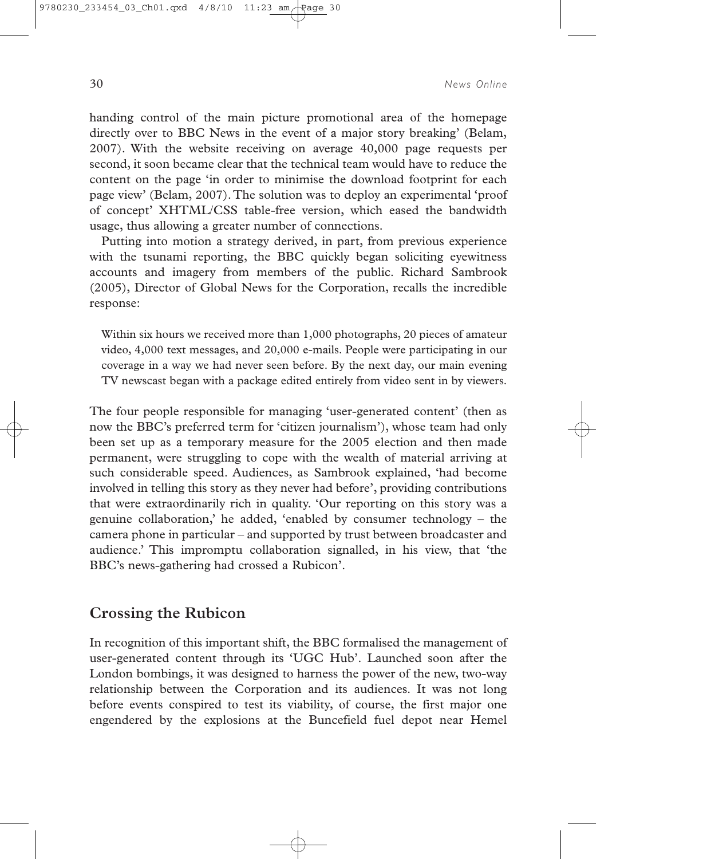handing control of the main picture promotional area of the homepage directly over to BBC News in the event of a major story breaking' (Belam, 2007). With the website receiving on average 40,000 page requests per second, it soon became clear that the technical team would have to reduce the content on the page 'in order to minimise the download footprint for each page view' (Belam, 2007).The solution was to deploy an experimental 'proof of concept' XHTML/CSS table-free version, which eased the bandwidth usage, thus allowing a greater number of connections.

Putting into motion a strategy derived, in part, from previous experience with the tsunami reporting, the BBC quickly began soliciting eyewitness accounts and imagery from members of the public. Richard Sambrook (2005), Director of Global News for the Corporation, recalls the incredible response:

Within six hours we received more than 1,000 photographs, 20 pieces of amateur video, 4,000 text messages, and 20,000 e-mails. People were participating in our coverage in a way we had never seen before. By the next day, our main evening TV newscast began with a package edited entirely from video sent in by viewers.

The four people responsible for managing 'user-generated content' (then as now the BBC's preferred term for 'citizen journalism'), whose team had only been set up as a temporary measure for the 2005 election and then made permanent, were struggling to cope with the wealth of material arriving at such considerable speed. Audiences, as Sambrook explained, 'had become involved in telling this story as they never had before', providing contributions that were extraordinarily rich in quality. 'Our reporting on this story was a genuine collaboration,' he added, 'enabled by consumer technology – the camera phone in particular – and supported by trust between broadcaster and audience.' This impromptu collaboration signalled, in his view, that 'the BBC's news-gathering had crossed a Rubicon'.

# **Crossing the Rubicon**

In recognition of this important shift, the BBC formalised the management of user-generated content through its 'UGC Hub'. Launched soon after the London bombings, it was designed to harness the power of the new, two-way relationship between the Corporation and its audiences. It was not long before events conspired to test its viability, of course, the first major one engendered by the explosions at the Buncefield fuel depot near Hemel

9780230\_233454\_03\_Ch01.qxd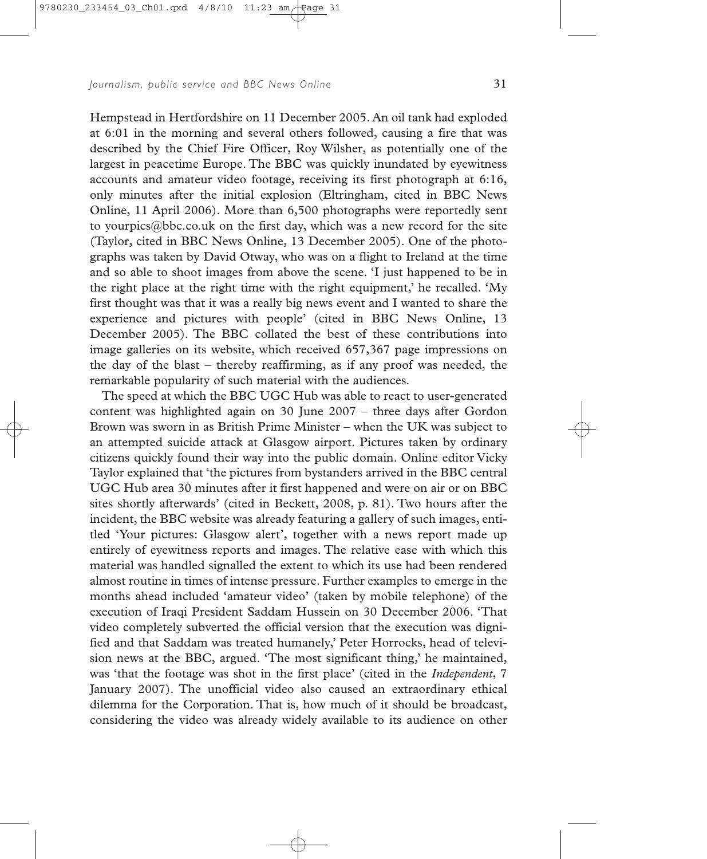Hempstead in Hertfordshire on 11 December 2005. An oil tank had exploded at 6:01 in the morning and several others followed, causing a fire that was described by the Chief Fire Officer, Roy Wilsher, as potentially one of the largest in peacetime Europe. The BBC was quickly inundated by eyewitness accounts and amateur video footage, receiving its first photograph at 6:16, only minutes after the initial explosion (Eltringham, cited in BBC News Online, 11 April 2006). More than 6,500 photographs were reportedly sent to yourpics@bbc.co.uk on the first day, which was a new record for the site (Taylor, cited in BBC News Online, 13 December 2005). One of the photographs was taken by David Otway, who was on a flight to Ireland at the time and so able to shoot images from above the scene. 'I just happened to be in the right place at the right time with the right equipment,' he recalled. 'My first thought was that it was a really big news event and I wanted to share the experience and pictures with people' (cited in BBC News Online, 13 December 2005). The BBC collated the best of these contributions into image galleries on its website, which received 657,367 page impressions on the day of the blast – thereby reaffirming, as if any proof was needed, the remarkable popularity of such material with the audiences.

The speed at which the BBC UGC Hub was able to react to user-generated content was highlighted again on 30 June 2007 – three days after Gordon Brown was sworn in as British Prime Minister – when the UK was subject to an attempted suicide attack at Glasgow airport. Pictures taken by ordinary citizens quickly found their way into the public domain. Online editor Vicky Taylor explained that 'the pictures from bystanders arrived in the BBC central UGC Hub area 30 minutes after it first happened and were on air or on BBC sites shortly afterwards' (cited in Beckett, 2008, p. 81). Two hours after the incident, the BBC website was already featuring a gallery of such images, entitled 'Your pictures: Glasgow alert', together with a news report made up entirely of eyewitness reports and images. The relative ease with which this material was handled signalled the extent to which its use had been rendered almost routine in times of intense pressure. Further examples to emerge in the months ahead included 'amateur video' (taken by mobile telephone) of the execution of Iraqi President Saddam Hussein on 30 December 2006. 'That video completely subverted the official version that the execution was dignified and that Saddam was treated humanely,' Peter Horrocks, head of television news at the BBC, argued. 'The most significant thing,' he maintained, was 'that the footage was shot in the first place' (cited in the *Independent*, 7 January 2007). The unofficial video also caused an extraordinary ethical dilemma for the Corporation. That is, how much of it should be broadcast, considering the video was already widely available to its audience on other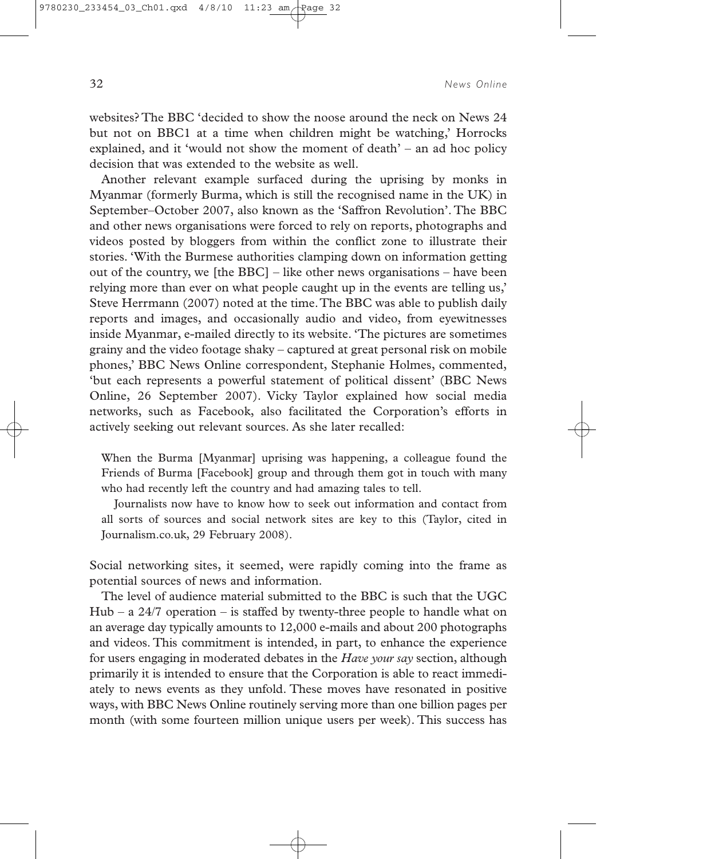websites? The BBC 'decided to show the noose around the neck on News 24 but not on BBC1 at a time when children might be watching,' Horrocks explained, and it 'would not show the moment of death' – an ad hoc policy decision that was extended to the website as well.

Another relevant example surfaced during the uprising by monks in Myanmar (formerly Burma, which is still the recognised name in the UK) in September–October 2007, also known as the 'Saffron Revolution'. The BBC and other news organisations were forced to rely on reports, photographs and videos posted by bloggers from within the conflict zone to illustrate their stories. 'With the Burmese authorities clamping down on information getting out of the country, we [the BBC] – like other news organisations – have been relying more than ever on what people caught up in the events are telling us,' Steve Herrmann (2007) noted at the time.The BBC was able to publish daily reports and images, and occasionally audio and video, from eyewitnesses inside Myanmar, e-mailed directly to its website. 'The pictures are sometimes grainy and the video footage shaky – captured at great personal risk on mobile phones,' BBC News Online correspondent, Stephanie Holmes, commented, 'but each represents a powerful statement of political dissent' (BBC News Online, 26 September 2007). Vicky Taylor explained how social media networks, such as Facebook, also facilitated the Corporation's efforts in actively seeking out relevant sources. As she later recalled:

When the Burma [Myanmar] uprising was happening, a colleague found the Friends of Burma [Facebook] group and through them got in touch with many who had recently left the country and had amazing tales to tell.

Journalists now have to know how to seek out information and contact from all sorts of sources and social network sites are key to this (Taylor, cited in Journalism.co.uk, 29 February 2008).

Social networking sites, it seemed, were rapidly coming into the frame as potential sources of news and information.

The level of audience material submitted to the BBC is such that the UGC Hub – a  $24/7$  operation – is staffed by twenty-three people to handle what on an average day typically amounts to 12,000 e-mails and about 200 photographs and videos. This commitment is intended, in part, to enhance the experience for users engaging in moderated debates in the *Have your say* section, although primarily it is intended to ensure that the Corporation is able to react immediately to news events as they unfold. These moves have resonated in positive ways, with BBC News Online routinely serving more than one billion pages per month (with some fourteen million unique users per week). This success has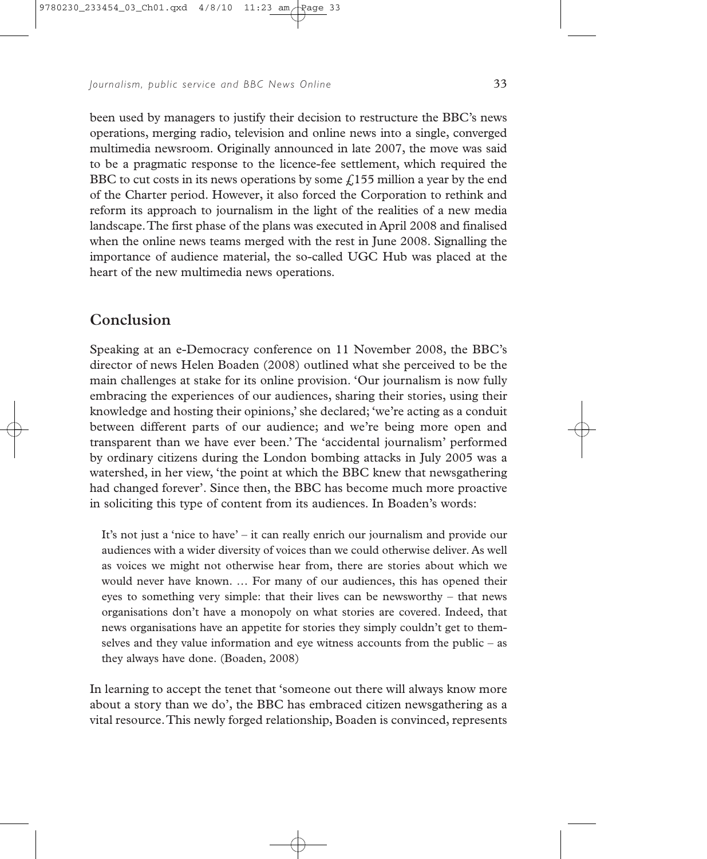been used by managers to justify their decision to restructure the BBC's news operations, merging radio, television and online news into a single, converged multimedia newsroom. Originally announced in late 2007, the move was said to be a pragmatic response to the licence-fee settlement, which required the BBC to cut costs in its news operations by some  $\mathcal{L}$ 155 million a year by the end of the Charter period. However, it also forced the Corporation to rethink and reform its approach to journalism in the light of the realities of a new media landscape.The first phase of the plans was executed in April 2008 and finalised when the online news teams merged with the rest in June 2008. Signalling the importance of audience material, the so-called UGC Hub was placed at the heart of the new multimedia news operations.

# **Conclusion**

Speaking at an e-Democracy conference on 11 November 2008, the BBC's director of news Helen Boaden (2008) outlined what she perceived to be the main challenges at stake for its online provision. 'Our journalism is now fully embracing the experiences of our audiences, sharing their stories, using their knowledge and hosting their opinions,' she declared; 'we're acting as a conduit between different parts of our audience; and we're being more open and transparent than we have ever been.' The 'accidental journalism' performed by ordinary citizens during the London bombing attacks in July 2005 was a watershed, in her view, 'the point at which the BBC knew that newsgathering had changed forever'. Since then, the BBC has become much more proactive in soliciting this type of content from its audiences. In Boaden's words:

It's not just a 'nice to have' – it can really enrich our journalism and provide our audiences with a wider diversity of voices than we could otherwise deliver. As well as voices we might not otherwise hear from, there are stories about which we would never have known. … For many of our audiences, this has opened their eyes to something very simple: that their lives can be newsworthy – that news organisations don't have a monopoly on what stories are covered. Indeed, that news organisations have an appetite for stories they simply couldn't get to themselves and they value information and eye witness accounts from the public – as they always have done. (Boaden, 2008)

In learning to accept the tenet that 'someone out there will always know more about a story than we do', the BBC has embraced citizen newsgathering as a vital resource.This newly forged relationship, Boaden is convinced, represents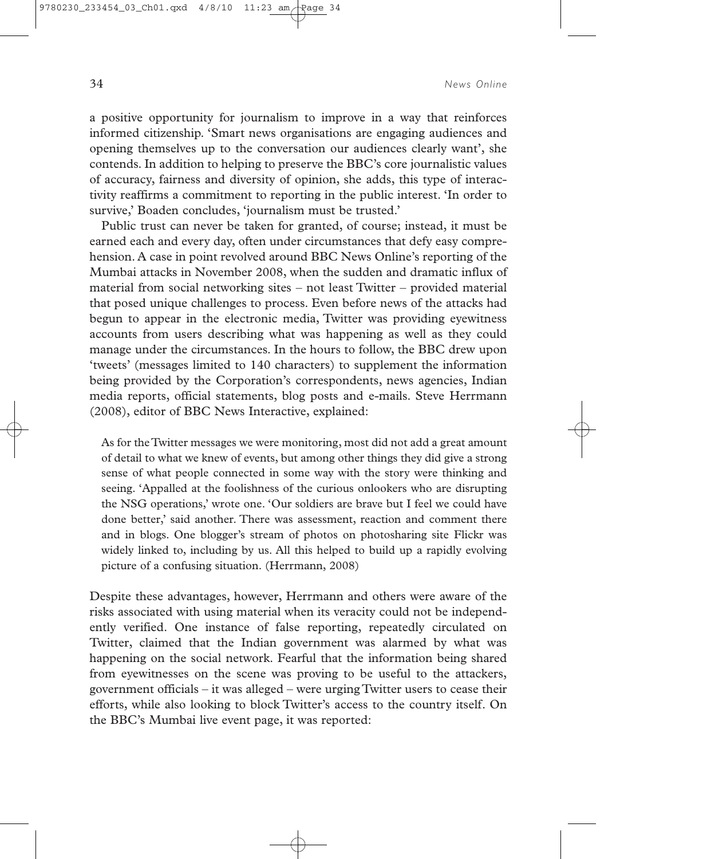a positive opportunity for journalism to improve in a way that reinforces informed citizenship. 'Smart news organisations are engaging audiences and opening themselves up to the conversation our audiences clearly want', she contends. In addition to helping to preserve the BBC's core journalistic values of accuracy, fairness and diversity of opinion, she adds, this type of interactivity reaffirms a commitment to reporting in the public interest. 'In order to survive,' Boaden concludes, 'journalism must be trusted.'

Public trust can never be taken for granted, of course; instead, it must be earned each and every day, often under circumstances that defy easy comprehension. A case in point revolved around BBC News Online's reporting of the Mumbai attacks in November 2008, when the sudden and dramatic influx of material from social networking sites – not least Twitter – provided material that posed unique challenges to process. Even before news of the attacks had begun to appear in the electronic media, Twitter was providing eyewitness accounts from users describing what was happening as well as they could manage under the circumstances. In the hours to follow, the BBC drew upon 'tweets' (messages limited to 140 characters) to supplement the information being provided by the Corporation's correspondents, news agencies, Indian media reports, official statements, blog posts and e-mails. Steve Herrmann (2008), editor of BBC News Interactive, explained:

As for the Twitter messages we were monitoring, most did not add a great amount of detail to what we knew of events, but among other things they did give a strong sense of what people connected in some way with the story were thinking and seeing. 'Appalled at the foolishness of the curious onlookers who are disrupting the NSG operations,' wrote one. 'Our soldiers are brave but I feel we could have done better,' said another. There was assessment, reaction and comment there and in blogs. One blogger's stream of photos on photosharing site Flickr was widely linked to, including by us. All this helped to build up a rapidly evolving picture of a confusing situation. (Herrmann, 2008)

Despite these advantages, however, Herrmann and others were aware of the risks associated with using material when its veracity could not be independently verified. One instance of false reporting, repeatedly circulated on Twitter, claimed that the Indian government was alarmed by what was happening on the social network. Fearful that the information being shared from eyewitnesses on the scene was proving to be useful to the attackers, government officials – it was alleged – were urging Twitter users to cease their efforts, while also looking to block Twitter's access to the country itself. On the BBC's Mumbai live event page, it was reported:

9780230\_233454\_03\_Ch01.qxd 4/8/10 11:23 am/ Page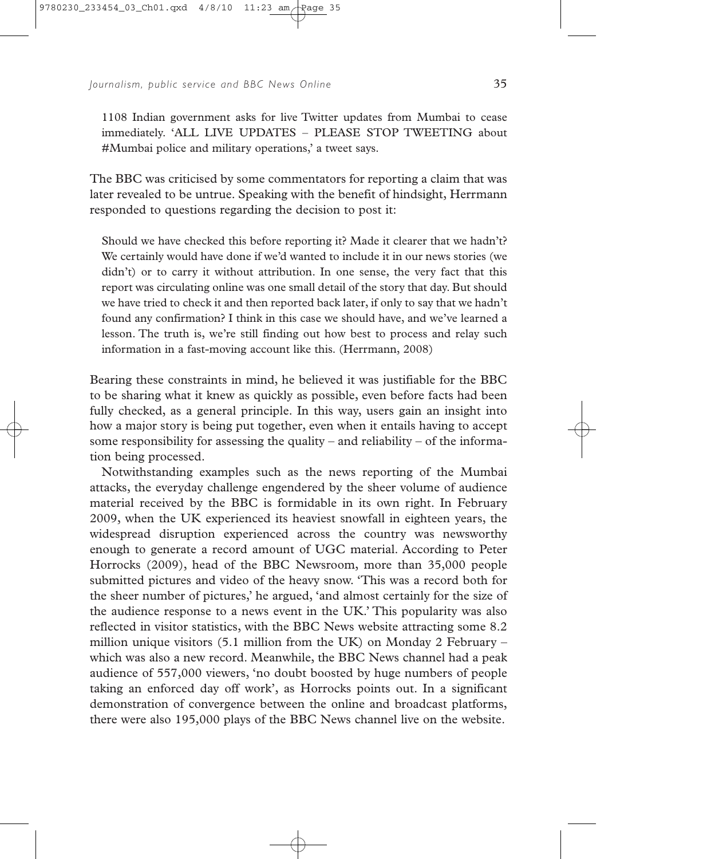1108 Indian government asks for live Twitter updates from Mumbai to cease immediately. 'ALL LIVE UPDATES – PLEASE STOP TWEETING about #Mumbai police and military operations,' a tweet says.

The BBC was criticised by some commentators for reporting a claim that was later revealed to be untrue. Speaking with the benefit of hindsight, Herrmann responded to questions regarding the decision to post it:

Should we have checked this before reporting it? Made it clearer that we hadn't? We certainly would have done if we'd wanted to include it in our news stories (we didn't) or to carry it without attribution. In one sense, the very fact that this report was circulating online was one small detail of the story that day. But should we have tried to check it and then reported back later, if only to say that we hadn't found any confirmation? I think in this case we should have, and we've learned a lesson. The truth is, we're still finding out how best to process and relay such information in a fast-moving account like this. (Herrmann, 2008)

Bearing these constraints in mind, he believed it was justifiable for the BBC to be sharing what it knew as quickly as possible, even before facts had been fully checked, as a general principle. In this way, users gain an insight into how a major story is being put together, even when it entails having to accept some responsibility for assessing the quality – and reliability – of the information being processed.

Notwithstanding examples such as the news reporting of the Mumbai attacks, the everyday challenge engendered by the sheer volume of audience material received by the BBC is formidable in its own right. In February 2009, when the UK experienced its heaviest snowfall in eighteen years, the widespread disruption experienced across the country was newsworthy enough to generate a record amount of UGC material. According to Peter Horrocks (2009), head of the BBC Newsroom, more than 35,000 people submitted pictures and video of the heavy snow. 'This was a record both for the sheer number of pictures,' he argued, 'and almost certainly for the size of the audience response to a news event in the UK.' This popularity was also reflected in visitor statistics, with the BBC News website attracting some 8.2 million unique visitors  $(5.1 \text{ million from the UK})$  on Monday 2 February – which was also a new record. Meanwhile, the BBC News channel had a peak audience of 557,000 viewers, 'no doubt boosted by huge numbers of people taking an enforced day off work', as Horrocks points out. In a significant demonstration of convergence between the online and broadcast platforms, there were also 195,000 plays of the BBC News channel live on the website.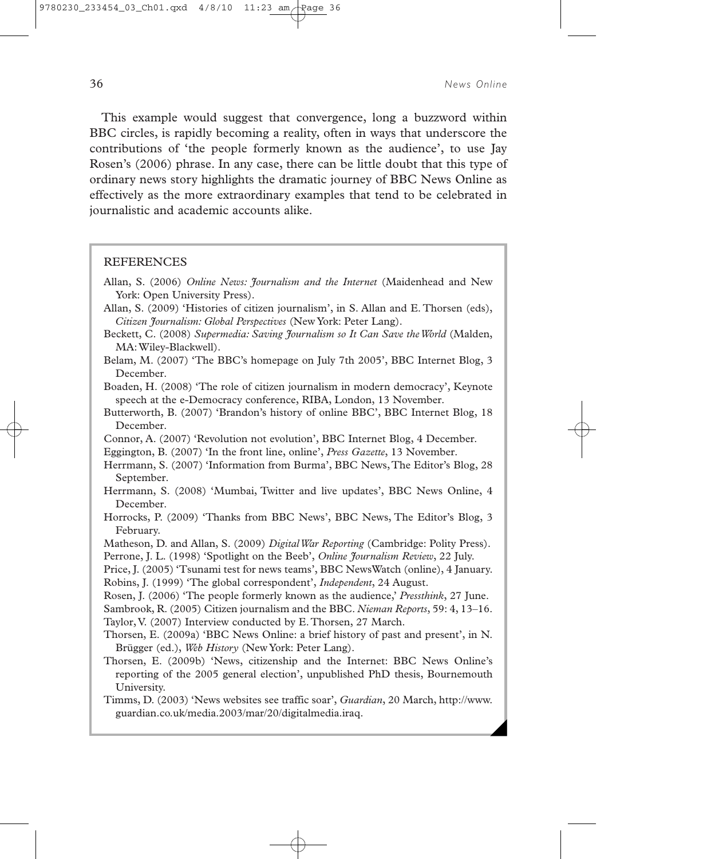36 *News Online*

This example would suggest that convergence, long a buzzword within BBC circles, is rapidly becoming a reality, often in ways that underscore the contributions of 'the people formerly known as the audience', to use Jay Rosen's (2006) phrase. In any case, there can be little doubt that this type of ordinary news story highlights the dramatic journey of BBC News Online as effectively as the more extraordinary examples that tend to be celebrated in journalistic and academic accounts alike.

### **REFERENCES**

- Allan, S. (2006) *Online News: Journalism and the Internet* (Maidenhead and New York: Open University Press).
- Allan, S. (2009) 'Histories of citizen journalism', in S. Allan and E. Thorsen (eds), *Citizen Journalism: Global Perspectives* (New York: Peter Lang).
- Beckett, C. (2008) *Supermedia: Saving Journalism so It Can Save the World* (Malden, MA: Wiley-Blackwell).
- Belam, M. (2007) 'The BBC's homepage on July 7th 2005', BBC Internet Blog, 3 December.
- Boaden, H. (2008) 'The role of citizen journalism in modern democracy', Keynote speech at the e-Democracy conference, RIBA, London, 13 November.
- Butterworth, B. (2007) 'Brandon's history of online BBC', BBC Internet Blog, 18 December.
- Connor, A. (2007) 'Revolution not evolution', BBC Internet Blog, 4 December.
- Eggington, B. (2007) 'In the front line, online', *Press Gazette*, 13 November.
- Herrmann, S. (2007) 'Information from Burma', BBC News,The Editor's Blog, 28 September.
- Herrmann, S. (2008) 'Mumbai, Twitter and live updates', BBC News Online, 4 December.
- Horrocks, P. (2009) 'Thanks from BBC News', BBC News, The Editor's Blog, 3 February.

Matheson, D. and Allan, S. (2009) *Digital War Reporting* (Cambridge: Polity Press). Perrone, J. L. (1998) 'Spotlight on the Beeb', *Online Journalism Review*, 22 July.

Price, J. (2005) 'Tsunami test for news teams', BBC NewsWatch (online), 4 January. Robins, J. (1999) 'The global correspondent', *Independent*, 24 August.

Rosen, J. (2006) 'The people formerly known as the audience,' *Pressthink*, 27 June. Sambrook, R. (2005) Citizen journalism and the BBC. *Nieman Reports*, 59: 4, 13–16. Taylor, V. (2007) Interview conducted by E. Thorsen, 27 March.

- Thorsen, E. (2009a) 'BBC News Online: a brief history of past and present', in N. Brügger (ed.), *Web History* (New York: Peter Lang).
- Thorsen, E. (2009b) 'News, citizenship and the Internet: BBC News Online's reporting of the 2005 general election', unpublished PhD thesis, Bournemouth University.
- Timms, D. (2003) 'News websites see traffic soar', *Guardian*, 20 March, http://www. guardian.co.uk/media.2003/mar/20/digitalmedia.iraq.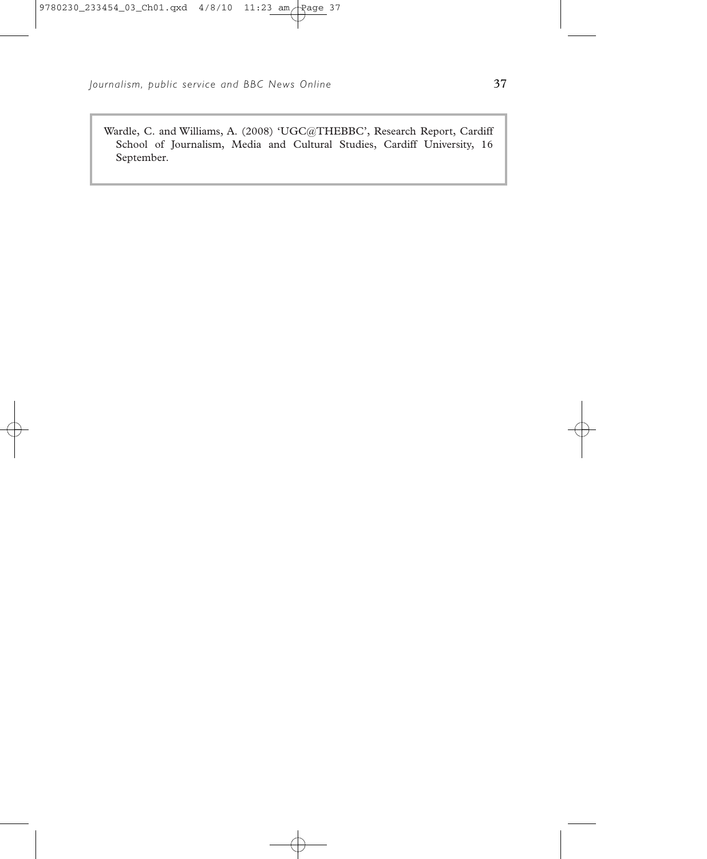Wardle, C. and Williams, A. (2008) 'UGC@THEBBC', Research Report, Cardiff School of Journalism, Media and Cultural Studies, Cardiff University, 16 September.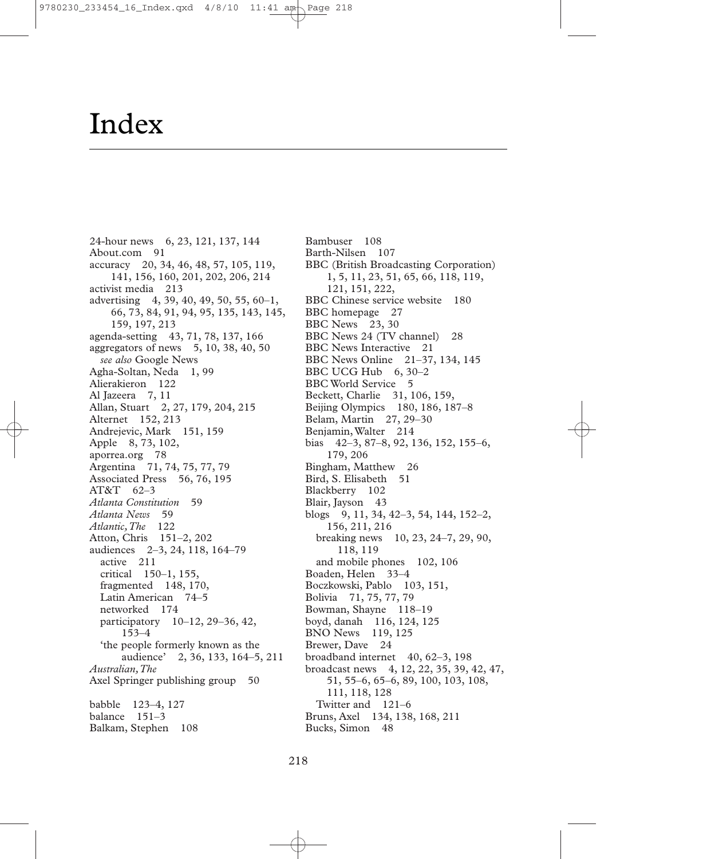### 9780230\_233454\_16\_Index.qxd 4/8/10 11:41 am Page 218

# Index

24-hour news 6, 23, 121, 137, 144 About.com 91 accuracy 20, 34, 46, 48, 57, 105, 119, 141, 156, 160, 201, 202, 206, 214 activist media 213 advertising 4, 39, 40, 49, 50, 55, 60–1, 66, 73, 84, 91, 94, 95, 135, 143, 145, 159, 197, 213 agenda-setting 43, 71, 78, 137, 166 aggregators of news 5, 10, 38, 40, 50 *see also* Google News Agha-Soltan, Neda 1, 99 Alierakieron 122 Al Jazeera 7, 11 Allan, Stuart 2, 27, 179, 204, 215 Alternet 152, 213 Andrejevic, Mark 151, 159 Apple 8, 73, 102, aporrea.org 78 Argentina 71, 74, 75, 77, 79 Associated Press 56, 76, 195 AT&T 62–3 *Atlanta Constitution* 59 *Atlanta News* 59 *Atlantic,The* 122 Atton, Chris 151–2, 202 audiences 2–3, 24, 118, 164–79 active 211 critical 150–1, 155, fragmented 148, 170, Latin American 74–5 networked 174 participatory 10–12, 29–36, 42, 153–4 'the people formerly known as the audience' 2, 36, 133, 164–5, 211 *Australian,The* Axel Springer publishing group 50 babble 123–4, 127

balance 151–3 Balkam, Stephen 108 Bambuser 108 Barth-Nilsen 107 BBC (British Broadcasting Corporation) 1, 5, 11, 23, 51, 65, 66, 118, 119, 121, 151, 222, BBC Chinese service website 180 BBC homepage 27 BBC News 23, 30 BBC News 24 (TV channel) 28 BBC News Interactive 21 BBC News Online 21–37, 134, 145 BBC UCG Hub 6, 30–2 BBC World Service 5 Beckett, Charlie 31, 106, 159, Beijing Olympics 180, 186, 187–8 Belam, Martin 27, 29–30 Benjamin, Walter 214 bias 42–3, 87–8, 92, 136, 152, 155–6, 179, 206 Bingham, Matthew 26 Bird, S. Elisabeth 51 Blackberry 102 Blair, Jayson 43 blogs 9, 11, 34, 42–3, 54, 144, 152–2, 156, 211, 216 breaking news 10, 23, 24–7, 29, 90, 118, 119 and mobile phones 102, 106 Boaden, Helen 33–4 Boczkowski, Pablo 103, 151, Bolivia 71, 75, 77, 79 Bowman, Shayne 118–19 boyd, danah 116, 124, 125 BNO News 119, 125 Brewer, Dave 24 broadband internet 40, 62–3, 198 broadcast news 4, 12, 22, 35, 39, 42, 47, 51, 55–6, 65–6, 89, 100, 103, 108, 111, 118, 128 Twitter and 121–6 Bruns, Axel 134, 138, 168, 211 Bucks, Simon 48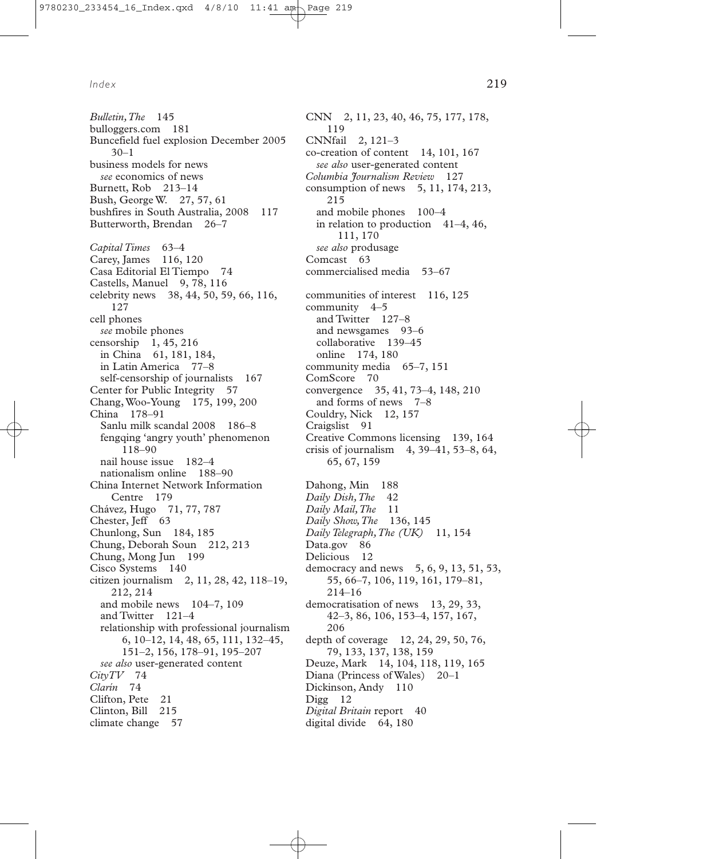## *Index* 219

*Bulletin,The* 145 bulloggers.com 181 Buncefield fuel explosion December 2005 30–1 business models for news *see* economics of news Burnett, Rob 213–14 Bush, George W. 27, 57, 61 bushfires in South Australia, 2008 117 Butterworth, Brendan 26–7 *Capital Times* 63–4 Carey, James 116, 120 Casa Editorial El Tiempo 74 Castells, Manuel 9, 78, 116 celebrity news 38, 44, 50, 59, 66, 116, 127 cell phones *see* mobile phones censorship 1, 45, 216 in China 61, 181, 184, in Latin America 77–8 self-censorship of journalists 167 Center for Public Integrity 57 Chang, Woo-Young 175, 199, 200 China 178–91 Sanlu milk scandal 2008 186–8 fengqing 'angry youth' phenomenon 118–90 nail house issue 182–4 nationalism online 188–90 China Internet Network Information Centre 179 Chávez, Hugo 71, 77, 787 Chester, Jeff 63 Chunlong, Sun 184, 185 Chung, Deborah Soun 212, 213 Chung, Mong Jun 199 Cisco Systems 140 citizen journalism 2, 11, 28, 42, 118–19, 212, 214 and mobile news 104–7, 109 and Twitter 121–4 relationship with professional journalism 6, 10–12, 14, 48, 65, 111, 132–45, 151–2, 156, 178–91, 195–207 *see also* user-generated content *CityTV* 74 *Clarín* 74 Clifton, Pete 21 Clinton, Bill 215 climate change 57

CNN 2, 11, 23, 40, 46, 75, 177, 178, 119 CNNfail 2, 121–3 co-creation of content 14, 101, 167 *see also* user-generated content *Columbia Journalism Review* 127 consumption of news  $5, 11, 174, 213$ , 215 and mobile phones 100–4 in relation to production 41–4, 46, 111, 170 *see also* produsage Comcast 63 commercialised media 53–67 communities of interest 116, 125 community 4–5 and Twitter 127–8 and newsgames 93–6 collaborative 139–45 online 174, 180 community media 65–7, 151 ComScore 70 convergence 35, 41, 73–4, 148, 210 and forms of news 7–8 Couldry, Nick 12, 157 Craigslist 91 Creative Commons licensing 139, 164 crisis of journalism 4, 39–41, 53–8, 64, 65, 67, 159 Dahong, Min 188 *Daily Dish,The* 42 *Daily Mail,The* 11 *Daily Show,The* 136, 145 *Daily Telegraph,The (UK)* 11, 154 Data.gov 86 Delicious 12 democracy and news 5, 6, 9, 13, 51, 53, 55, 66–7, 106, 119, 161, 179–81, 214–16 democratisation of news 13, 29, 33, 42–3, 86, 106, 153–4, 157, 167, 206 depth of coverage 12, 24, 29, 50, 76, 79, 133, 137, 138, 159 Deuze, Mark 14, 104, 118, 119, 165 Diana (Princess of Wales) 20–1 Dickinson, Andy 110 Digg 12 *Digital Britain* report 40 digital divide 64, 180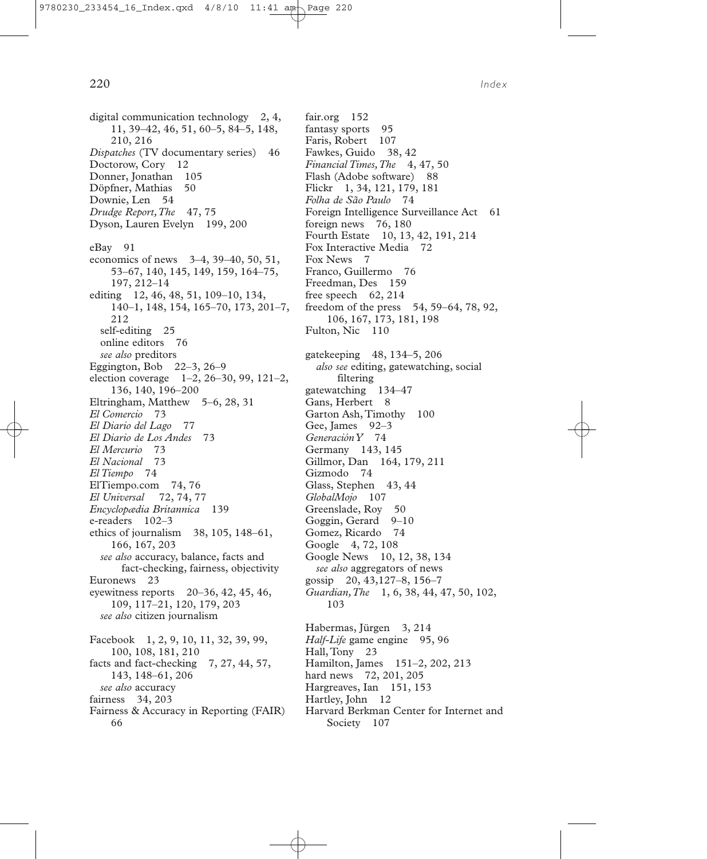digital communication technology 2, 4, 11, 39–42, 46, 51, 60–5, 84–5, 148, 210, 216 *Dispatches* (TV documentary series) 46 Doctorow, Cory 12 Donner, Jonathan 105 Döpfner, Mathias 50 Downie, Len 54 *Drudge Report,The* 47, 75 Dyson, Lauren Evelyn 199, 200 eBay 91 economics of news 3–4, 39–40, 50, 51, 53–67, 140, 145, 149, 159, 164–75, 197, 212–14 editing 12, 46, 48, 51, 109–10, 134, 140–1, 148, 154, 165–70, 173, 201–7, 212 self-editing 25 online editors 76 *see also* preditors Eggington, Bob 22–3, 26–9 election coverage 1–2, 26–30, 99, 121–2, 136, 140, 196–200 Eltringham, Matthew 5–6, 28, 31 *El Comercio* 73 *El Diario del Lago* 77 *El Diario de Los Andes* 73 *El Mercurio* 73 *El Nacional* 73 *El Tiempo* 74 ElTiempo.com 74, 76 *El Universal* 72, 74, 77 *Encyclopædia Britannica* 139 e-readers 102–3 ethics of journalism 38, 105, 148–61, 166, 167, 203 *see also* accuracy, balance, facts and fact-checking, fairness, objectivity Euronews 23 eyewitness reports 20–36, 42, 45, 46, 109, 117–21, 120, 179, 203 *see also* citizen journalism Facebook 1, 2, 9, 10, 11, 32, 39, 99, 100, 108, 181, 210 facts and fact-checking 7, 27, 44, 57, 143, 148–61, 206 *see also* accuracy fairness 34, 203 Fairness & Accuracy in Reporting (FAIR)

66

fair.org 152 fantasy sports 95 Faris, Robert 107 Fawkes, Guido 38, 42 *Financial Times, The* 4, 47, 50 Flash (Adobe software) 88 Flickr 1, 34, 121, 179, 181 *Folha de São Paulo* 74 Foreign Intelligence Surveillance Act 61 foreign news 76, 180 Fourth Estate 10, 13, 42, 191, 214 Fox Interactive Media 72 Fox News 7 Franco, Guillermo 76 Freedman, Des 159 free speech 62, 214 freedom of the press 54, 59–64, 78, 92, 106, 167, 173, 181, 198 Fulton, Nic 110 gatekeeping 48, 134–5, 206 *also see* editing, gatewatching, social filtering gatewatching 134–47 Gans, Herbert 8 Garton Ash, Timothy 100 Gee, James 92–3 *Generación Y* 74 Germany 143, 145 Gillmor, Dan 164, 179, 211 Gizmodo 74 Glass, Stephen 43, 44 *GlobalMojo* 107 Greenslade, Roy 50 Goggin, Gerard 9–10 Gomez, Ricardo 74 Google 4, 72, 108 Google News 10, 12, 38, 134 *see also* aggregators of news gossip 20, 43,127–8, 156–7 *Guardian,The* 1, 6, 38, 44, 47, 50, 102, 103 Habermas, Jürgen 3, 214 *Half-Life* game engine 95, 96 Hall, Tony 23 Hamilton, James 151–2, 202, 213 hard news 72, 201, 205 Hargreaves, Ian 151, 153 Hartley, John 12 Harvard Berkman Center for Internet and Society 107

220 *Index*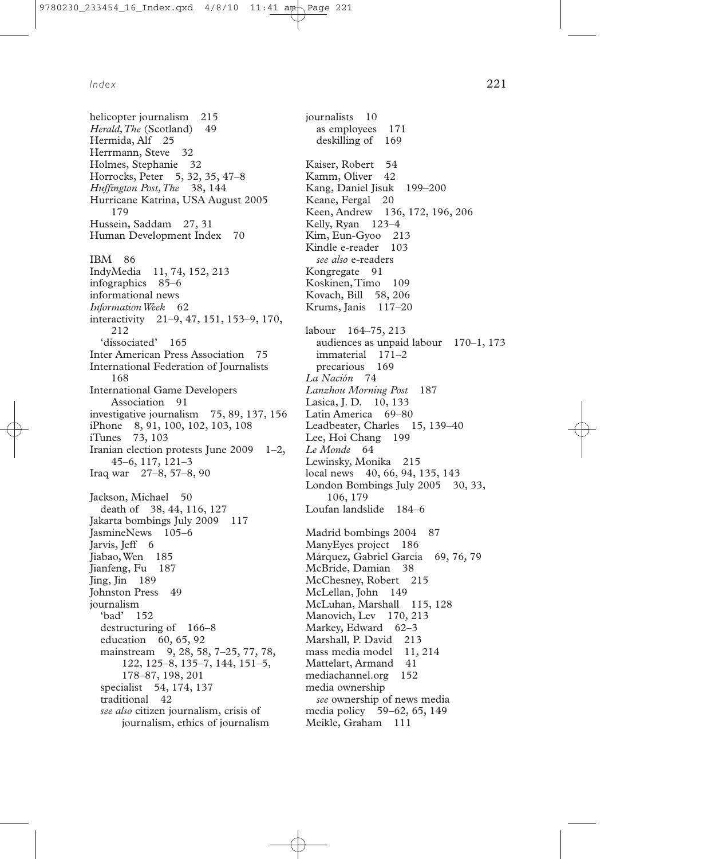*Index* 221

helicopter journalism 215 *Herald,The* (Scotland) 49 Hermida, Alf 25 Herrmann, Steve 32 Holmes, Stephanie 32 Horrocks, Peter 5, 32, 35, 47-8 *Huffington Post,The* 38, 144 Hurricane Katrina, USA August 2005 179 Hussein, Saddam 27, 31 Human Development Index 70 IBM 86 IndyMedia 11, 74, 152, 213 infographics 85–6 informational news *Information Week* 62 interactivity 21–9, 47, 151, 153–9, 170, 212 'dissociated' 165 Inter American Press Association 75 International Federation of Journalists 168 International Game Developers Association 91 investigative journalism 75, 89, 137, 156 iPhone 8, 91, 100, 102, 103, 108 iTunes 73, 103 Iranian election protests June 2009 1–2, 45–6, 117, 121–3 Iraq war 27–8, 57–8, 90 Jackson, Michael 50 death of 38, 44, 116, 127 Jakarta bombings July 2009 117 JasmineNews 105–6 Jarvis, Jeff 6 Jiabao, Wen 185 Jianfeng, Fu 187 Jing, Jin 189 Johnston Press 49 journalism 'bad' 152 destructuring of 166–8 education 60, 65, 92 mainstream 9, 28, 58, 7-25, 77, 78, 122, 125–8, 135–7, 144, 151–5, 178–87, 198, 201 specialist 54, 174, 137 traditional 42 *see also* citizen journalism, crisis of journalism, ethics of journalism

journalists 10 as employees 171 deskilling of 169 Kaiser, Robert 54 Kamm, Oliver 42 Kang, Daniel Jisuk 199–200 Keane, Fergal 20 Keen, Andrew 136, 172, 196, 206 Kelly, Ryan 123–4 Kim, Eun-Gyoo 213 Kindle e-reader 103 *see also* e-readers Kongregate 91 Koskinen, Timo 109 Kovach, Bill 58, 206 Krums, Janis 117–20 labour 164–75, 213 audiences as unpaid labour 170–1, 173 immaterial 171–2 precarious 169 *La Nación* 74 *Lanzhou Morning Post* 187 Lasica, J. D. 10, 133 Latin America 69–80 Leadbeater, Charles 15, 139–40 Lee, Hoi Chang 199 *Le Monde* 64 Lewinsky, Monika 215 local news 40, 66, 94, 135, 143 London Bombings July 2005 30, 33, 106, 179 Loufan landslide 184–6 Madrid bombings 2004 87 ManyEyes project 186 Márquez, Gabriel García 69, 76, 79 McBride, Damian 38 McChesney, Robert 215 McLellan, John 149 McLuhan, Marshall 115, 128 Manovich, Lev 170, 213 Markey, Edward 62–3 Marshall, P. David 213 mass media model 11, 214 Mattelart, Armand 41 mediachannel.org 152 media ownership *see* ownership of news media media policy 59–62, 65, 149 Meikle, Graham 111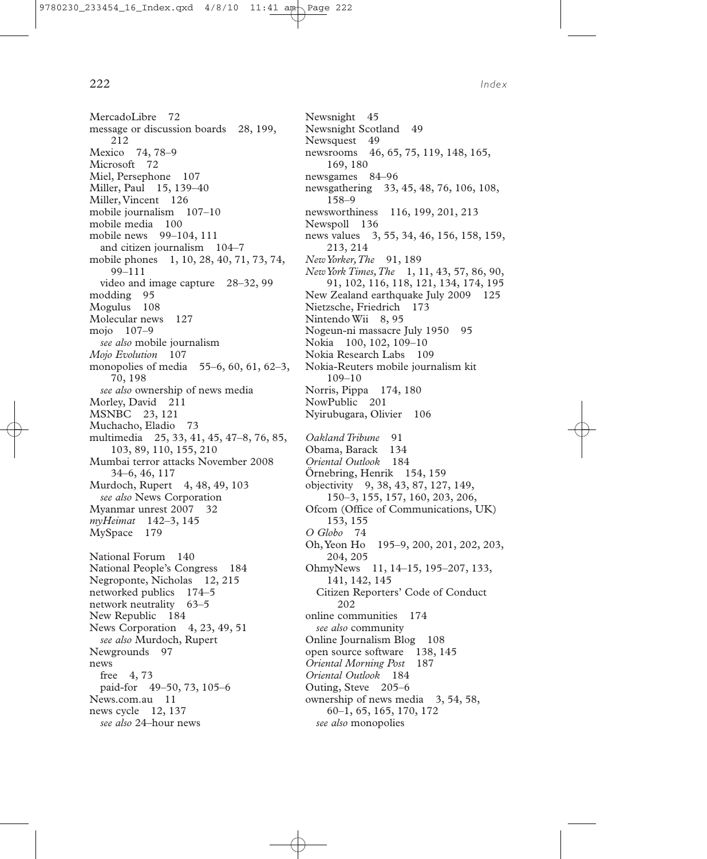MercadoLibre 72 message or discussion boards 28, 199, 212 Mexico 74, 78–9 Microsoft 72 Miel, Persephone 107 Miller, Paul 15, 139–40 Miller, Vincent 126 mobile journalism 107–10 mobile media 100 mobile news 99–104, 111 and citizen journalism 104–7 mobile phones 1, 10, 28, 40, 71, 73, 74, 99–111 video and image capture 28–32, 99 modding 95 Mogulus 108 Molecular news 127 mojo 107–9 *see also* mobile journalism *Mojo Evolution* 107 monopolies of media 55–6, 60, 61, 62–3, 70, 198 *see also* ownership of news media Morley, David 211 MSNBC 23, 121 Muchacho, Eladio 73 multimedia 25, 33, 41, 45, 47–8, 76, 85, 103, 89, 110, 155, 210 Mumbai terror attacks November 2008 34–6, 46, 117 Murdoch, Rupert 4, 48, 49, 103 *see also* News Corporation Myanmar unrest 2007 32 *myHeimat* 142–3, 145 MySpace 179 National Forum 140 National People's Congress 184 Negroponte, Nicholas 12, 215 networked publics 174–5 network neutrality 63–5 New Republic 184 News Corporation 4, 23, 49, 51 *see also* Murdoch, Rupert Newgrounds 97 news free 4, 73 paid-for 49–50, 73, 105–6 News.com.au 11 news cycle 12, 137 *see also* 24–hour news

Newsnight 45 Newsnight Scotland 49 Newsquest 49 newsrooms 46, 65, 75, 119, 148, 165, 169, 180 newsgames 84–96 newsgathering 33, 45, 48, 76, 106, 108, 158–9 newsworthiness 116, 199, 201, 213 Newspoll 136 news values 3, 55, 34, 46, 156, 158, 159, 213, 214 *New Yorker,The* 91, 189 *New York Times,The* 1, 11, 43, 57, 86, 90, 91, 102, 116, 118, 121, 134, 174, 195 New Zealand earthquake July 2009 125 Nietzsche, Friedrich 173 Nintendo Wii 8, 95 Nogeun-ni massacre July 1950 95 Nokia 100, 102, 109–10 Nokia Research Labs 109 Nokia-Reuters mobile journalism kit 109–10 Norris, Pippa 174, 180 NowPublic 201 Nyirubugara, Olivier 106 *Oakland Tribune* 91 Obama, Barack 134 *Oriental Outlook* 184 Örnebring, Henrik 154, 159 objectivity 9, 38, 43, 87, 127, 149, 150–3, 155, 157, 160, 203, 206, Ofcom (Office of Communications, UK) 153, 155 *O Globo* 74 Oh,Yeon Ho 195–9, 200, 201, 202, 203, 204, 205 OhmyNews 11, 14–15, 195–207, 133, 141, 142, 145 Citizen Reporters' Code of Conduct 202 online communities 174 *see also* community Online Journalism Blog 108 open source software 138, 145 *Oriental Morning Post* 187 *Oriental Outlook* 184 Outing, Steve 205–6 ownership of news media 3, 54, 58, 60–1, 65, 165, 170, 172 *see also* monopolies

222 *Index*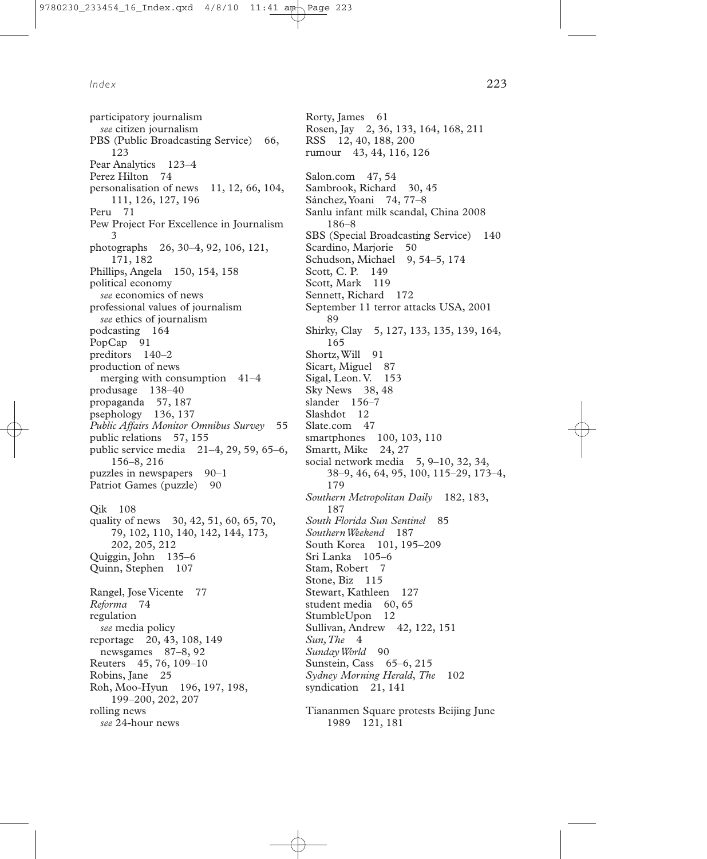## *Index* 223

participatory journalism *see* citizen journalism PBS (Public Broadcasting Service) 66, 123 Pear Analytics 123–4 Perez Hilton 74 personalisation of news 11, 12, 66, 104, 111, 126, 127, 196 Peru 71 Pew Project For Excellence in Journalism 3 photographs 26, 30–4, 92, 106, 121, 171, 182 Phillips, Angela 150, 154, 158 political economy *see* economics of news professional values of journalism *see* ethics of journalism podcasting 164 PopCap 91 preditors 140–2 production of news merging with consumption 41–4 produsage 138–40 propaganda 57, 187 psephology 136, 137 *Public Affairs Monitor Omnibus Survey* 55 public relations 57, 155 public service media 21–4, 29, 59, 65–6, 156–8, 216 puzzles in newspapers 90–1 Patriot Games (puzzle) 90 Qik 108 quality of news 30, 42, 51, 60, 65, 70, 79, 102, 110, 140, 142, 144, 173, 202, 205, 212 Quiggin, John 135–6 Quinn, Stephen 107 Rangel, Jose Vicente 77 *Reforma* 74 regulation *see* media policy reportage 20, 43, 108, 149 newsgames 87–8, 92 Reuters 45, 76, 109–10 Robins, Jane 25 Roh, Moo-Hyun 196, 197, 198, 199–200, 202, 207 rolling news *see* 24-hour news

Rorty, James 61 Rosen, Jay 2, 36, 133, 164, 168, 211 RSS 12, 40, 188, 200 rumour 43, 44, 116, 126 Salon.com 47, 54 Sambrook, Richard 30, 45 Sánchez,Yoani 74, 77–8 Sanlu infant milk scandal, China 2008 186–8 SBS (Special Broadcasting Service) 140 Scardino, Marjorie 50 Schudson, Michael 9, 54-5, 174 Scott, C. P. 149 Scott, Mark 119 Sennett, Richard 172 September 11 terror attacks USA, 2001 89 Shirky, Clay 5, 127, 133, 135, 139, 164, 165 Shortz, Will 91 Sicart, Miguel 87 Sigal, Leon. V. 153 Sky News 38, 48 slander 156–7 Slashdot 12 Slate.com 47 smartphones 100, 103, 110 Smartt, Mike 24, 27 social network media 5, 9-10, 32, 34, 38–9, 46, 64, 95, 100, 115–29, 173–4, 179 *Southern Metropolitan Daily* 182, 183, 187 *South Florida Sun Sentinel* 85 *Southern Weekend* 187 South Korea 101, 195–209 Sri Lanka 105–6 Stam, Robert 7 Stone, Biz 115 Stewart, Kathleen 127 student media 60, 65 StumbleUpon 12 Sullivan, Andrew 42, 122, 151 *Sun,The* 4 *Sunday World* 90 Sunstein, Cass 65–6, 215 *Sydney Morning Herald*, *The* 102 syndication 21, 141

Tiananmen Square protests Beijing June 1989 121, 181